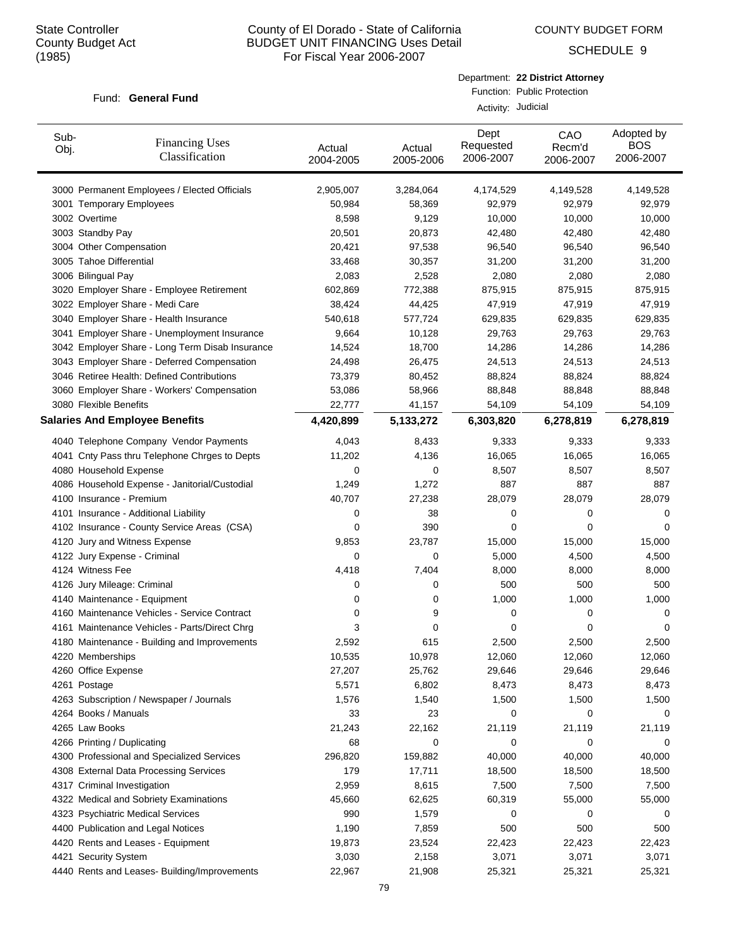COUNTY BUDGET FORM

SCHEDULE 9

#### Fund: General Fund

|                    | Department: 22 District Attorney |
|--------------------|----------------------------------|
|                    | Function: Public Protection      |
| Activity: Judicial |                                  |

| Sub-<br>Obj. | <b>Financing Uses</b><br>Classification         | Actual<br>2004-2005 | Actual<br>2005-2006 | Dept<br>Requested<br>2006-2007 | CAO<br>Recm'd<br>2006-2007 | Adopted by<br><b>BOS</b><br>2006-2007 |
|--------------|-------------------------------------------------|---------------------|---------------------|--------------------------------|----------------------------|---------------------------------------|
|              | 3000 Permanent Employees / Elected Officials    | 2,905,007           | 3,284,064           | 4,174,529                      | 4,149,528                  | 4,149,528                             |
|              | 3001 Temporary Employees                        | 50,984              | 58,369              | 92,979                         | 92,979                     | 92,979                                |
|              | 3002 Overtime                                   | 8,598               | 9,129               | 10,000                         | 10,000                     | 10,000                                |
|              | 3003 Standby Pay                                | 20,501              | 20,873              | 42,480                         | 42,480                     | 42,480                                |
|              | 3004 Other Compensation                         | 20,421              | 97,538              | 96,540                         | 96,540                     | 96,540                                |
|              | 3005 Tahoe Differential                         | 33,468              | 30,357              | 31,200                         | 31,200                     | 31,200                                |
|              | 3006 Bilingual Pay                              | 2,083               | 2,528               | 2,080                          | 2,080                      | 2,080                                 |
|              | 3020 Employer Share - Employee Retirement       | 602,869             | 772,388             | 875,915                        | 875,915                    | 875,915                               |
|              | 3022 Employer Share - Medi Care                 | 38,424              | 44,425              | 47,919                         | 47,919                     | 47,919                                |
|              | 3040 Employer Share - Health Insurance          | 540,618             | 577,724             | 629,835                        | 629,835                    | 629,835                               |
|              | 3041 Employer Share - Unemployment Insurance    | 9,664               | 10,128              | 29,763                         | 29,763                     | 29,763                                |
|              | 3042 Employer Share - Long Term Disab Insurance | 14,524              | 18,700              | 14,286                         | 14,286                     | 14,286                                |
|              | 3043 Employer Share - Deferred Compensation     | 24,498              | 26,475              | 24,513                         | 24,513                     | 24,513                                |
|              | 3046 Retiree Health: Defined Contributions      | 73,379              | 80,452              | 88,824                         | 88,824                     | 88,824                                |
|              | 3060 Employer Share - Workers' Compensation     | 53,086              | 58,966              | 88,848                         | 88,848                     | 88,848                                |
|              | 3080 Flexible Benefits                          | 22,777              | 41,157              | 54,109                         | 54,109                     | 54,109                                |
|              | <b>Salaries And Employee Benefits</b>           | 4,420,899           | 5,133,272           | 6,303,820                      | 6,278,819                  | 6,278,819                             |
|              | 4040 Telephone Company Vendor Payments          | 4,043               | 8,433               | 9,333                          | 9,333                      | 9,333                                 |
|              | 4041 Cnty Pass thru Telephone Chrges to Depts   | 11,202              | 4,136               | 16,065                         | 16,065                     | 16,065                                |
|              | 4080 Household Expense                          | 0                   | 0                   | 8,507                          | 8,507                      | 8,507                                 |
|              | 4086 Household Expense - Janitorial/Custodial   | 1,249               | 1,272               | 887                            | 887                        | 887                                   |
|              | 4100 Insurance - Premium                        | 40,707              | 27,238              | 28,079                         | 28,079                     | 28,079                                |
|              | 4101 Insurance - Additional Liability           | 0                   | 38                  | 0                              | 0                          | 0                                     |
|              | 4102 Insurance - County Service Areas (CSA)     | 0                   | 390                 | 0                              | 0                          | 0                                     |
|              | 4120 Jury and Witness Expense                   | 9,853               | 23,787              | 15,000                         | 15,000                     | 15,000                                |
|              | 4122 Jury Expense - Criminal                    | 0                   | 0                   | 5,000                          | 4,500                      | 4,500                                 |
|              | 4124 Witness Fee                                | 4,418               | 7,404               | 8,000                          | 8,000                      | 8,000                                 |
|              | 4126 Jury Mileage: Criminal                     | 0                   | 0                   | 500                            | 500                        | 500                                   |
|              | 4140 Maintenance - Equipment                    | 0                   | 0                   | 1,000                          | 1,000                      | 1,000                                 |
|              | 4160 Maintenance Vehicles - Service Contract    | 0                   | 9                   | 0                              | 0                          | 0                                     |
|              | 4161 Maintenance Vehicles - Parts/Direct Chrg   | 3                   | 0                   | 0                              | 0                          | 0                                     |
|              | 4180 Maintenance - Building and Improvements    | 2,592               | 615                 | 2,500                          | 2,500                      | 2,500                                 |
|              | 4220 Memberships                                | 10,535              | 10,978              | 12,060                         | 12,060                     | 12,060                                |
|              | 4260 Office Expense                             | 27,207              | 25,762              | 29,646                         | 29,646                     | 29,646                                |
|              | 4261 Postage                                    | 5,571               | 6,802               | 8,473                          | 8,473                      | 8,473                                 |
|              | 4263 Subscription / Newspaper / Journals        | 1,576               | 1,540               | 1,500                          | 1,500                      | 1,500                                 |
|              | 4264 Books / Manuals                            | 33                  | 23                  | 0                              | 0                          | 0                                     |
|              | 4265 Law Books                                  | 21,243              | 22,162              | 21,119                         | 21,119                     | 21,119                                |
|              | 4266 Printing / Duplicating                     | 68                  | 0                   | 0                              | 0                          | 0                                     |
|              | 4300 Professional and Specialized Services      | 296,820             | 159,882             | 40,000                         | 40,000                     | 40,000                                |
|              | 4308 External Data Processing Services          | 179                 | 17,711              | 18,500                         | 18,500                     | 18,500                                |
|              | 4317 Criminal Investigation                     | 2,959               | 8,615               | 7,500                          | 7,500                      | 7,500                                 |
|              | 4322 Medical and Sobriety Examinations          | 45,660              | 62,625              | 60,319                         | 55,000                     | 55,000                                |
|              | 4323 Psychiatric Medical Services               | 990                 | 1,579               | 0                              | 0                          | 0                                     |
|              | 4400 Publication and Legal Notices              | 1,190               | 7,859               | 500                            | 500                        | 500                                   |
|              | 4420 Rents and Leases - Equipment               | 19,873              | 23,524              | 22,423                         | 22,423                     | 22,423                                |
|              | 4421 Security System                            | 3,030               | 2,158               | 3,071                          | 3,071                      | 3,071                                 |
|              | 4440 Rents and Leases- Building/Improvements    | 22,967              | 21,908              | 25,321                         | 25,321                     | 25,321                                |
|              |                                                 |                     |                     |                                |                            |                                       |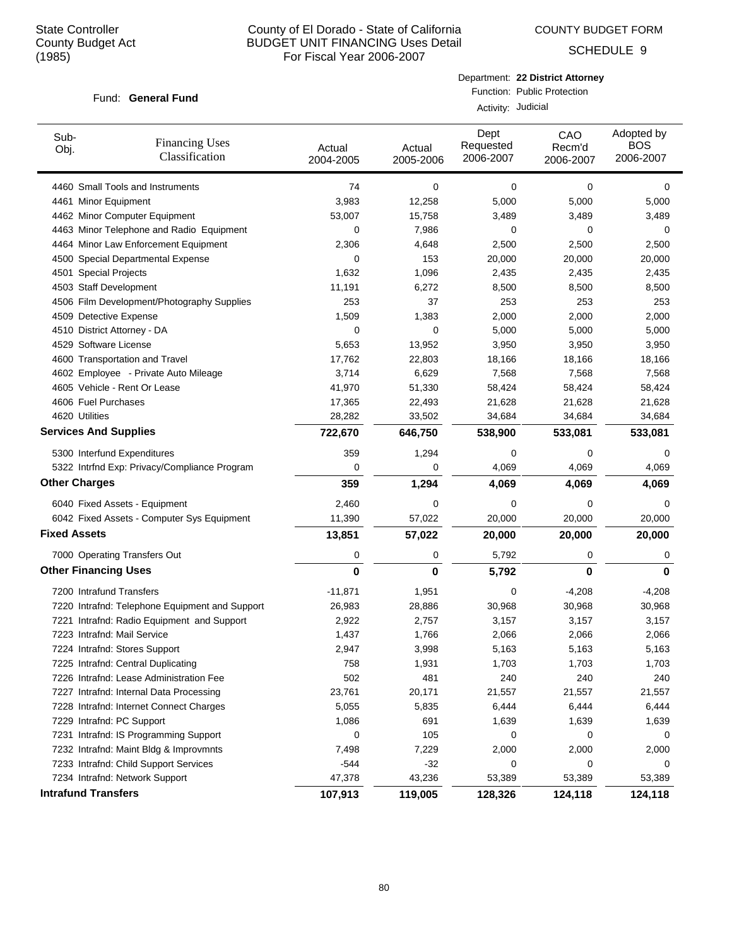COUNTY BUDGET FORM

SCHEDULE 9

### Fund: General Fund

Department: **22 District Attorney** Function: Public Protection

Activity: Judicial

| Sub-<br>Obj.        | <b>Financing Uses</b><br>Classification        | Actual<br>2004-2005 | Actual<br>2005-2006 | Dept<br>Requested<br>2006-2007 | CAO<br>Recm'd<br>2006-2007 | Adopted by<br><b>BOS</b><br>2006-2007 |
|---------------------|------------------------------------------------|---------------------|---------------------|--------------------------------|----------------------------|---------------------------------------|
|                     | 4460 Small Tools and Instruments               | 74                  | 0                   | 0                              | $\mathbf 0$                | 0                                     |
|                     | 4461 Minor Equipment                           | 3,983               | 12,258              | 5,000                          | 5,000                      | 5,000                                 |
|                     | 4462 Minor Computer Equipment                  | 53,007              | 15,758              | 3,489                          | 3,489                      | 3,489                                 |
|                     | 4463 Minor Telephone and Radio Equipment       | 0                   | 7,986               | 0                              | 0                          | 0                                     |
|                     | 4464 Minor Law Enforcement Equipment           | 2,306               | 4,648               | 2,500                          | 2,500                      | 2,500                                 |
|                     | 4500 Special Departmental Expense              | 0                   | 153                 | 20,000                         | 20,000                     | 20,000                                |
|                     | 4501 Special Projects                          | 1,632               | 1,096               | 2,435                          | 2,435                      | 2,435                                 |
|                     | 4503 Staff Development                         | 11,191              | 6,272               | 8,500                          | 8,500                      | 8,500                                 |
|                     | 4506 Film Development/Photography Supplies     | 253                 | 37                  | 253                            | 253                        | 253                                   |
|                     | 4509 Detective Expense                         | 1,509               | 1,383               | 2,000                          | 2,000                      | 2,000                                 |
|                     | 4510 District Attorney - DA                    | 0                   | 0                   | 5,000                          | 5,000                      | 5,000                                 |
|                     | 4529 Software License                          | 5,653               | 13,952              | 3,950                          | 3,950                      | 3,950                                 |
|                     | 4600 Transportation and Travel                 | 17,762              | 22,803              | 18,166                         | 18,166                     | 18,166                                |
|                     | 4602 Employee - Private Auto Mileage           | 3,714               | 6,629               | 7,568                          | 7,568                      | 7,568                                 |
|                     | 4605 Vehicle - Rent Or Lease                   | 41,970              | 51,330              | 58,424                         | 58,424                     | 58,424                                |
|                     | 4606 Fuel Purchases                            | 17,365              | 22,493              | 21,628                         | 21,628                     | 21,628                                |
|                     | 4620 Utilities                                 | 28,282              | 33,502              | 34,684                         | 34,684                     | 34,684                                |
|                     | <b>Services And Supplies</b>                   | 722,670             | 646,750             | 538,900                        | 533,081                    | 533,081                               |
|                     | 5300 Interfund Expenditures                    | 359                 | 1,294               | 0                              | $\mathbf 0$                | 0                                     |
|                     | 5322 Intrfnd Exp: Privacy/Compliance Program   | 0                   | 0                   | 4,069                          | 4,069                      | 4,069                                 |
|                     | <b>Other Charges</b>                           | 359                 | 1,294               | 4,069                          | 4,069                      | 4,069                                 |
|                     | 6040 Fixed Assets - Equipment                  | 2,460               | 0                   | 0                              | 0                          | 0                                     |
|                     | 6042 Fixed Assets - Computer Sys Equipment     | 11,390              | 57,022              | 20,000                         | 20,000                     | 20,000                                |
| <b>Fixed Assets</b> |                                                | 13,851              | 57,022              | 20,000                         | 20,000                     | 20,000                                |
|                     | 7000 Operating Transfers Out                   | 0                   | 0                   | 5,792                          | 0                          | 0                                     |
|                     | <b>Other Financing Uses</b>                    | $\bf{0}$            | 0                   | 5,792                          | 0                          | 0                                     |
|                     | 7200 Intrafund Transfers                       | $-11,871$           | 1,951               | 0                              | $-4,208$                   | $-4,208$                              |
|                     | 7220 Intrafnd: Telephone Equipment and Support | 26,983              | 28,886              | 30,968                         | 30,968                     | 30,968                                |
|                     | 7221 Intrafnd: Radio Equipment and Support     | 2,922               | 2,757               | 3,157                          | 3,157                      | 3,157                                 |
|                     | 7223 Intrafnd: Mail Service                    | 1,437               | 1,766               | 2,066                          | 2,066                      | 2,066                                 |
|                     | 7224 Intrafnd: Stores Support                  | 2,947               | 3,998               | 5,163                          | 5,163                      | 5,163                                 |
|                     | 7225 Intrafnd: Central Duplicating             | 758                 | 1,931               | 1,703                          | 1,703                      | 1,703                                 |
|                     | 7226 Intrafnd: Lease Administration Fee        | 502                 | 481                 | 240                            | 240                        | 240                                   |
|                     | 7227 Intrafnd: Internal Data Processing        | 23,761              | 20,171              | 21,557                         | 21,557                     | 21,557                                |
|                     | 7228 Intrafnd: Internet Connect Charges        | 5,055               | 5,835               | 6,444                          | 6,444                      | 6,444                                 |
|                     | 7229 Intrafnd: PC Support                      | 1,086               | 691                 | 1,639                          | 1,639                      | 1,639                                 |
|                     | 7231 Intrafnd: IS Programming Support          | 0                   | 105                 | 0                              | 0                          | 0                                     |
|                     | 7232 Intrafnd: Maint Bldg & Improvmnts         | 7,498               | 7,229               | 2,000                          | 2,000                      | 2,000                                 |
|                     | 7233 Intrafnd: Child Support Services          | $-544$              | $-32$               | 0                              | 0                          | 0                                     |
|                     | 7234 Intrafnd: Network Support                 | 47,378              | 43,236              | 53,389                         | 53,389                     | 53,389                                |
|                     | <b>Intrafund Transfers</b>                     | 107,913             | 119,005             | 128,326                        | 124,118                    | 124,118                               |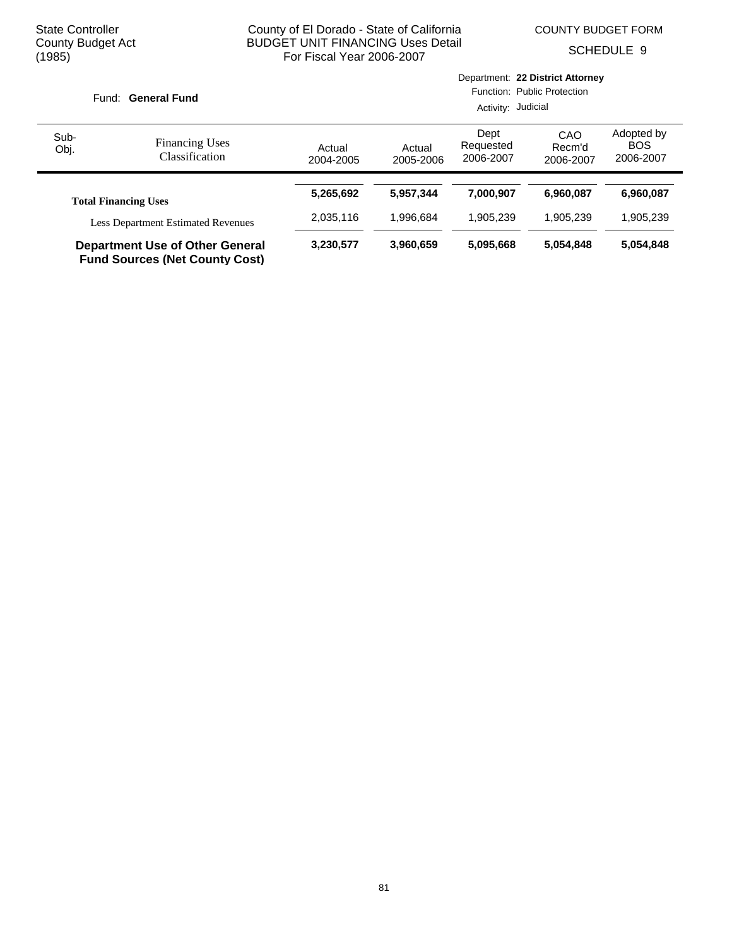COUNTY BUDGET FORM

SCHEDULE 9

|                                           | Fund: General Fund                                                              |                     | Department: 22 District Attorney<br>Function: Public Protection<br>Activity: Judicial |                                |                            |                                       |  |
|-------------------------------------------|---------------------------------------------------------------------------------|---------------------|---------------------------------------------------------------------------------------|--------------------------------|----------------------------|---------------------------------------|--|
| Sub-<br>Obj.                              | <b>Financing Uses</b><br>Classification                                         | Actual<br>2004-2005 | Actual<br>2005-2006                                                                   | Dept<br>Requested<br>2006-2007 | CAO<br>Recm'd<br>2006-2007 | Adopted by<br><b>BOS</b><br>2006-2007 |  |
|                                           | <b>Total Financing Uses</b>                                                     | 5,265,692           | 5.957.344                                                                             | 7.000.907                      | 6.960.087                  | 6,960,087                             |  |
| <b>Less Department Estimated Revenues</b> |                                                                                 | 2,035,116           | 1.996.684                                                                             | 1,905,239                      | 1.905.239                  | 1,905,239                             |  |
|                                           | <b>Department Use of Other General</b><br><b>Fund Sources (Net County Cost)</b> | 3,230,577           | 3,960,659                                                                             | 5,095,668                      | 5,054,848                  | 5,054,848                             |  |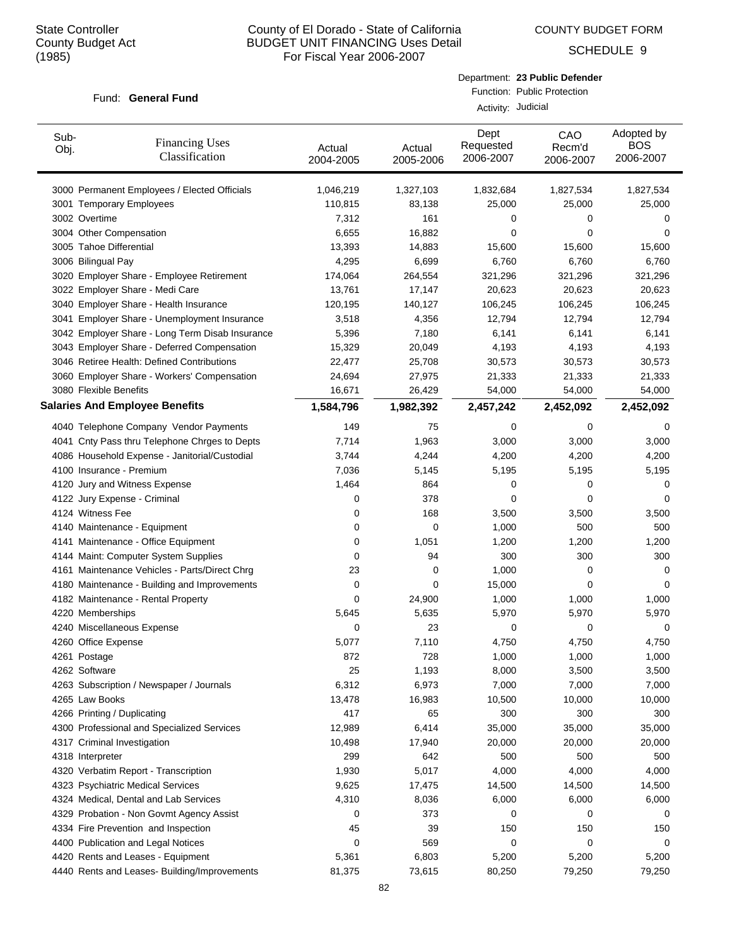COUNTY BUDGET FORM

SCHEDULE 9

#### Fund: General Fund

| Department: 23 Public Defender |
|--------------------------------|
| Function: Public Protection    |

Activity: Judicial

| 3000 Permanent Employees / Elected Officials<br>1,046,219<br>1,327,103<br>1,832,684<br>1,827,534<br>1,827,534<br>110,815<br>83,138<br>25,000<br>25,000<br>25,000<br>3001 Temporary Employees<br>3002 Overtime<br>7,312<br>161<br>0<br>0<br>0<br>3004 Other Compensation<br>6,655<br>16,882<br>0<br>0<br>0<br>3005 Tahoe Differential<br>13,393<br>14,883<br>15,600<br>15,600<br>15,600<br>3006 Bilingual Pay<br>4,295<br>6,699<br>6,760<br>6,760<br>6,760<br>3020 Employer Share - Employee Retirement<br>174,064<br>264,554<br>321,296<br>321,296<br>321,296<br>3022 Employer Share - Medi Care<br>13,761<br>17,147<br>20,623<br>20,623<br>20,623<br>3040 Employer Share - Health Insurance<br>120,195<br>140,127<br>106,245<br>106,245<br>106,245<br>3041 Employer Share - Unemployment Insurance<br>3,518<br>12,794<br>12,794<br>12,794<br>4,356<br>3042 Employer Share - Long Term Disab Insurance<br>5,396<br>7,180<br>6,141<br>6,141<br>6,141<br>3043 Employer Share - Deferred Compensation<br>15,329<br>20,049<br>4,193<br>4,193<br>4,193<br>3046 Retiree Health: Defined Contributions<br>25,708<br>30,573<br>30,573<br>30,573<br>22,477<br>3060 Employer Share - Workers' Compensation<br>24,694<br>27,975<br>21,333<br>21,333<br>21,333<br>3080 Flexible Benefits<br>16,671<br>26,429<br>54,000<br>54,000<br>54,000<br><b>Salaries And Employee Benefits</b><br>1,584,796<br>1,982,392<br>2,457,242<br>2,452,092<br>2,452,092<br>4040 Telephone Company Vendor Payments<br>149<br>75<br>0<br>0<br>0<br>1,963<br>3,000<br>3,000<br>3,000<br>4041 Cnty Pass thru Telephone Chrges to Depts<br>7,714<br>4086 Household Expense - Janitorial/Custodial<br>4,244<br>4,200<br>4,200<br>4,200<br>3,744<br>4100 Insurance - Premium<br>7,036<br>5,145<br>5,195<br>5,195<br>5,195<br>1,464<br>4120 Jury and Witness Expense<br>864<br>0<br>0<br>0<br>378<br>0<br>0<br>4122 Jury Expense - Criminal<br>0<br>0<br>168<br>4124 Witness Fee<br>3,500<br>3,500<br>3,500<br>0<br>500<br>500<br>0<br>1,000<br>4140 Maintenance - Equipment<br>0<br>1,051<br>1,200<br>1,200<br>1,200<br>4141 Maintenance - Office Equipment<br>0<br>300<br>300<br>300<br>4144 Maint: Computer System Supplies<br>94<br>0<br>1,000<br>4161 Maintenance Vehicles - Parts/Direct Chrg<br>23<br>0<br>0<br>0<br>15,000<br>4180 Maintenance - Building and Improvements<br>0<br>0<br>0<br>0<br>$\mathbf 0$<br>24,900<br>1,000<br>1,000<br>1,000<br>4182 Maintenance - Rental Property<br>4220 Memberships<br>5,645<br>5,635<br>5,970<br>5,970<br>5,970<br>23<br>4240 Miscellaneous Expense<br>0<br>0<br>0<br>0<br>5,077<br>7,110<br>4260 Office Expense<br>4,750<br>4,750<br>4,750<br>4261 Postage<br>728<br>1,000<br>1,000<br>1,000<br>872<br>4262 Software<br>25<br>1,193<br>8,000<br>3,500<br>3,500<br>6,312<br>6,973<br>7,000<br>7,000<br>7,000<br>4263 Subscription / Newspaper / Journals<br>13,478<br>16,983<br>10,500<br>10,000<br>10,000<br>4265 Law Books<br>4266 Printing / Duplicating<br>417<br>300<br>300<br>300<br>65<br>6,414<br>4300 Professional and Specialized Services<br>12,989<br>35,000<br>35,000<br>35,000<br>10,498<br>20,000<br>20,000<br>20,000<br>4317 Criminal Investigation<br>17,940<br>299<br>642<br>500<br>500<br>500<br>4318 Interpreter<br>4320 Verbatim Report - Transcription<br>1,930<br>5,017<br>4,000<br>4,000<br>4,000<br>4323 Psychiatric Medical Services<br>9,625<br>14,500<br>14,500<br>14,500<br>17,475<br>4324 Medical, Dental and Lab Services<br>4,310<br>8,036<br>6,000<br>6,000<br>6,000<br>373<br>4329 Probation - Non Govmt Agency Assist<br>0<br>0<br>0<br>0<br>4334 Fire Prevention and Inspection<br>45<br>39<br>150<br>150<br>150<br>4400 Publication and Legal Notices<br>0<br>569<br>0<br>0<br>0<br>4420 Rents and Leases - Equipment<br>5,361<br>6,803<br>5,200<br>5,200<br>5,200<br>4440 Rents and Leases- Building/Improvements<br>81,375<br>73,615<br>80,250<br>79,250<br>79,250 | Sub-<br>Obj. | <b>Financing Uses</b><br>Classification | Actual<br>2004-2005 | Actual<br>2005-2006 | Dept<br>Requested<br>2006-2007 | CAO<br>Recm'd<br>2006-2007 | Adopted by<br><b>BOS</b><br>2006-2007 |
|----------------------------------------------------------------------------------------------------------------------------------------------------------------------------------------------------------------------------------------------------------------------------------------------------------------------------------------------------------------------------------------------------------------------------------------------------------------------------------------------------------------------------------------------------------------------------------------------------------------------------------------------------------------------------------------------------------------------------------------------------------------------------------------------------------------------------------------------------------------------------------------------------------------------------------------------------------------------------------------------------------------------------------------------------------------------------------------------------------------------------------------------------------------------------------------------------------------------------------------------------------------------------------------------------------------------------------------------------------------------------------------------------------------------------------------------------------------------------------------------------------------------------------------------------------------------------------------------------------------------------------------------------------------------------------------------------------------------------------------------------------------------------------------------------------------------------------------------------------------------------------------------------------------------------------------------------------------------------------------------------------------------------------------------------------------------------------------------------------------------------------------------------------------------------------------------------------------------------------------------------------------------------------------------------------------------------------------------------------------------------------------------------------------------------------------------------------------------------------------------------------------------------------------------------------------------------------------------------------------------------------------------------------------------------------------------------------------------------------------------------------------------------------------------------------------------------------------------------------------------------------------------------------------------------------------------------------------------------------------------------------------------------------------------------------------------------------------------------------------------------------------------------------------------------------------------------------------------------------------------------------------------------------------------------------------------------------------------------------------------------------------------------------------------------------------------------------------------------------------------------------------------------------------------------------------------------------------------------------------------------------------------------------------------------------------------------------------------------------------------------------------------------------------------------------------------------------------------------------------------------------------------------------------------|--------------|-----------------------------------------|---------------------|---------------------|--------------------------------|----------------------------|---------------------------------------|
|                                                                                                                                                                                                                                                                                                                                                                                                                                                                                                                                                                                                                                                                                                                                                                                                                                                                                                                                                                                                                                                                                                                                                                                                                                                                                                                                                                                                                                                                                                                                                                                                                                                                                                                                                                                                                                                                                                                                                                                                                                                                                                                                                                                                                                                                                                                                                                                                                                                                                                                                                                                                                                                                                                                                                                                                                                                                                                                                                                                                                                                                                                                                                                                                                                                                                                                                                                                                                                                                                                                                                                                                                                                                                                                                                                                                                                                                                                                      |              |                                         |                     |                     |                                |                            |                                       |
|                                                                                                                                                                                                                                                                                                                                                                                                                                                                                                                                                                                                                                                                                                                                                                                                                                                                                                                                                                                                                                                                                                                                                                                                                                                                                                                                                                                                                                                                                                                                                                                                                                                                                                                                                                                                                                                                                                                                                                                                                                                                                                                                                                                                                                                                                                                                                                                                                                                                                                                                                                                                                                                                                                                                                                                                                                                                                                                                                                                                                                                                                                                                                                                                                                                                                                                                                                                                                                                                                                                                                                                                                                                                                                                                                                                                                                                                                                                      |              |                                         |                     |                     |                                |                            |                                       |
|                                                                                                                                                                                                                                                                                                                                                                                                                                                                                                                                                                                                                                                                                                                                                                                                                                                                                                                                                                                                                                                                                                                                                                                                                                                                                                                                                                                                                                                                                                                                                                                                                                                                                                                                                                                                                                                                                                                                                                                                                                                                                                                                                                                                                                                                                                                                                                                                                                                                                                                                                                                                                                                                                                                                                                                                                                                                                                                                                                                                                                                                                                                                                                                                                                                                                                                                                                                                                                                                                                                                                                                                                                                                                                                                                                                                                                                                                                                      |              |                                         |                     |                     |                                |                            |                                       |
|                                                                                                                                                                                                                                                                                                                                                                                                                                                                                                                                                                                                                                                                                                                                                                                                                                                                                                                                                                                                                                                                                                                                                                                                                                                                                                                                                                                                                                                                                                                                                                                                                                                                                                                                                                                                                                                                                                                                                                                                                                                                                                                                                                                                                                                                                                                                                                                                                                                                                                                                                                                                                                                                                                                                                                                                                                                                                                                                                                                                                                                                                                                                                                                                                                                                                                                                                                                                                                                                                                                                                                                                                                                                                                                                                                                                                                                                                                                      |              |                                         |                     |                     |                                |                            |                                       |
|                                                                                                                                                                                                                                                                                                                                                                                                                                                                                                                                                                                                                                                                                                                                                                                                                                                                                                                                                                                                                                                                                                                                                                                                                                                                                                                                                                                                                                                                                                                                                                                                                                                                                                                                                                                                                                                                                                                                                                                                                                                                                                                                                                                                                                                                                                                                                                                                                                                                                                                                                                                                                                                                                                                                                                                                                                                                                                                                                                                                                                                                                                                                                                                                                                                                                                                                                                                                                                                                                                                                                                                                                                                                                                                                                                                                                                                                                                                      |              |                                         |                     |                     |                                |                            |                                       |
|                                                                                                                                                                                                                                                                                                                                                                                                                                                                                                                                                                                                                                                                                                                                                                                                                                                                                                                                                                                                                                                                                                                                                                                                                                                                                                                                                                                                                                                                                                                                                                                                                                                                                                                                                                                                                                                                                                                                                                                                                                                                                                                                                                                                                                                                                                                                                                                                                                                                                                                                                                                                                                                                                                                                                                                                                                                                                                                                                                                                                                                                                                                                                                                                                                                                                                                                                                                                                                                                                                                                                                                                                                                                                                                                                                                                                                                                                                                      |              |                                         |                     |                     |                                |                            |                                       |
|                                                                                                                                                                                                                                                                                                                                                                                                                                                                                                                                                                                                                                                                                                                                                                                                                                                                                                                                                                                                                                                                                                                                                                                                                                                                                                                                                                                                                                                                                                                                                                                                                                                                                                                                                                                                                                                                                                                                                                                                                                                                                                                                                                                                                                                                                                                                                                                                                                                                                                                                                                                                                                                                                                                                                                                                                                                                                                                                                                                                                                                                                                                                                                                                                                                                                                                                                                                                                                                                                                                                                                                                                                                                                                                                                                                                                                                                                                                      |              |                                         |                     |                     |                                |                            |                                       |
|                                                                                                                                                                                                                                                                                                                                                                                                                                                                                                                                                                                                                                                                                                                                                                                                                                                                                                                                                                                                                                                                                                                                                                                                                                                                                                                                                                                                                                                                                                                                                                                                                                                                                                                                                                                                                                                                                                                                                                                                                                                                                                                                                                                                                                                                                                                                                                                                                                                                                                                                                                                                                                                                                                                                                                                                                                                                                                                                                                                                                                                                                                                                                                                                                                                                                                                                                                                                                                                                                                                                                                                                                                                                                                                                                                                                                                                                                                                      |              |                                         |                     |                     |                                |                            |                                       |
|                                                                                                                                                                                                                                                                                                                                                                                                                                                                                                                                                                                                                                                                                                                                                                                                                                                                                                                                                                                                                                                                                                                                                                                                                                                                                                                                                                                                                                                                                                                                                                                                                                                                                                                                                                                                                                                                                                                                                                                                                                                                                                                                                                                                                                                                                                                                                                                                                                                                                                                                                                                                                                                                                                                                                                                                                                                                                                                                                                                                                                                                                                                                                                                                                                                                                                                                                                                                                                                                                                                                                                                                                                                                                                                                                                                                                                                                                                                      |              |                                         |                     |                     |                                |                            |                                       |
|                                                                                                                                                                                                                                                                                                                                                                                                                                                                                                                                                                                                                                                                                                                                                                                                                                                                                                                                                                                                                                                                                                                                                                                                                                                                                                                                                                                                                                                                                                                                                                                                                                                                                                                                                                                                                                                                                                                                                                                                                                                                                                                                                                                                                                                                                                                                                                                                                                                                                                                                                                                                                                                                                                                                                                                                                                                                                                                                                                                                                                                                                                                                                                                                                                                                                                                                                                                                                                                                                                                                                                                                                                                                                                                                                                                                                                                                                                                      |              |                                         |                     |                     |                                |                            |                                       |
|                                                                                                                                                                                                                                                                                                                                                                                                                                                                                                                                                                                                                                                                                                                                                                                                                                                                                                                                                                                                                                                                                                                                                                                                                                                                                                                                                                                                                                                                                                                                                                                                                                                                                                                                                                                                                                                                                                                                                                                                                                                                                                                                                                                                                                                                                                                                                                                                                                                                                                                                                                                                                                                                                                                                                                                                                                                                                                                                                                                                                                                                                                                                                                                                                                                                                                                                                                                                                                                                                                                                                                                                                                                                                                                                                                                                                                                                                                                      |              |                                         |                     |                     |                                |                            |                                       |
|                                                                                                                                                                                                                                                                                                                                                                                                                                                                                                                                                                                                                                                                                                                                                                                                                                                                                                                                                                                                                                                                                                                                                                                                                                                                                                                                                                                                                                                                                                                                                                                                                                                                                                                                                                                                                                                                                                                                                                                                                                                                                                                                                                                                                                                                                                                                                                                                                                                                                                                                                                                                                                                                                                                                                                                                                                                                                                                                                                                                                                                                                                                                                                                                                                                                                                                                                                                                                                                                                                                                                                                                                                                                                                                                                                                                                                                                                                                      |              |                                         |                     |                     |                                |                            |                                       |
|                                                                                                                                                                                                                                                                                                                                                                                                                                                                                                                                                                                                                                                                                                                                                                                                                                                                                                                                                                                                                                                                                                                                                                                                                                                                                                                                                                                                                                                                                                                                                                                                                                                                                                                                                                                                                                                                                                                                                                                                                                                                                                                                                                                                                                                                                                                                                                                                                                                                                                                                                                                                                                                                                                                                                                                                                                                                                                                                                                                                                                                                                                                                                                                                                                                                                                                                                                                                                                                                                                                                                                                                                                                                                                                                                                                                                                                                                                                      |              |                                         |                     |                     |                                |                            |                                       |
|                                                                                                                                                                                                                                                                                                                                                                                                                                                                                                                                                                                                                                                                                                                                                                                                                                                                                                                                                                                                                                                                                                                                                                                                                                                                                                                                                                                                                                                                                                                                                                                                                                                                                                                                                                                                                                                                                                                                                                                                                                                                                                                                                                                                                                                                                                                                                                                                                                                                                                                                                                                                                                                                                                                                                                                                                                                                                                                                                                                                                                                                                                                                                                                                                                                                                                                                                                                                                                                                                                                                                                                                                                                                                                                                                                                                                                                                                                                      |              |                                         |                     |                     |                                |                            |                                       |
|                                                                                                                                                                                                                                                                                                                                                                                                                                                                                                                                                                                                                                                                                                                                                                                                                                                                                                                                                                                                                                                                                                                                                                                                                                                                                                                                                                                                                                                                                                                                                                                                                                                                                                                                                                                                                                                                                                                                                                                                                                                                                                                                                                                                                                                                                                                                                                                                                                                                                                                                                                                                                                                                                                                                                                                                                                                                                                                                                                                                                                                                                                                                                                                                                                                                                                                                                                                                                                                                                                                                                                                                                                                                                                                                                                                                                                                                                                                      |              |                                         |                     |                     |                                |                            |                                       |
|                                                                                                                                                                                                                                                                                                                                                                                                                                                                                                                                                                                                                                                                                                                                                                                                                                                                                                                                                                                                                                                                                                                                                                                                                                                                                                                                                                                                                                                                                                                                                                                                                                                                                                                                                                                                                                                                                                                                                                                                                                                                                                                                                                                                                                                                                                                                                                                                                                                                                                                                                                                                                                                                                                                                                                                                                                                                                                                                                                                                                                                                                                                                                                                                                                                                                                                                                                                                                                                                                                                                                                                                                                                                                                                                                                                                                                                                                                                      |              |                                         |                     |                     |                                |                            |                                       |
|                                                                                                                                                                                                                                                                                                                                                                                                                                                                                                                                                                                                                                                                                                                                                                                                                                                                                                                                                                                                                                                                                                                                                                                                                                                                                                                                                                                                                                                                                                                                                                                                                                                                                                                                                                                                                                                                                                                                                                                                                                                                                                                                                                                                                                                                                                                                                                                                                                                                                                                                                                                                                                                                                                                                                                                                                                                                                                                                                                                                                                                                                                                                                                                                                                                                                                                                                                                                                                                                                                                                                                                                                                                                                                                                                                                                                                                                                                                      |              |                                         |                     |                     |                                |                            |                                       |
|                                                                                                                                                                                                                                                                                                                                                                                                                                                                                                                                                                                                                                                                                                                                                                                                                                                                                                                                                                                                                                                                                                                                                                                                                                                                                                                                                                                                                                                                                                                                                                                                                                                                                                                                                                                                                                                                                                                                                                                                                                                                                                                                                                                                                                                                                                                                                                                                                                                                                                                                                                                                                                                                                                                                                                                                                                                                                                                                                                                                                                                                                                                                                                                                                                                                                                                                                                                                                                                                                                                                                                                                                                                                                                                                                                                                                                                                                                                      |              |                                         |                     |                     |                                |                            |                                       |
|                                                                                                                                                                                                                                                                                                                                                                                                                                                                                                                                                                                                                                                                                                                                                                                                                                                                                                                                                                                                                                                                                                                                                                                                                                                                                                                                                                                                                                                                                                                                                                                                                                                                                                                                                                                                                                                                                                                                                                                                                                                                                                                                                                                                                                                                                                                                                                                                                                                                                                                                                                                                                                                                                                                                                                                                                                                                                                                                                                                                                                                                                                                                                                                                                                                                                                                                                                                                                                                                                                                                                                                                                                                                                                                                                                                                                                                                                                                      |              |                                         |                     |                     |                                |                            |                                       |
|                                                                                                                                                                                                                                                                                                                                                                                                                                                                                                                                                                                                                                                                                                                                                                                                                                                                                                                                                                                                                                                                                                                                                                                                                                                                                                                                                                                                                                                                                                                                                                                                                                                                                                                                                                                                                                                                                                                                                                                                                                                                                                                                                                                                                                                                                                                                                                                                                                                                                                                                                                                                                                                                                                                                                                                                                                                                                                                                                                                                                                                                                                                                                                                                                                                                                                                                                                                                                                                                                                                                                                                                                                                                                                                                                                                                                                                                                                                      |              |                                         |                     |                     |                                |                            |                                       |
|                                                                                                                                                                                                                                                                                                                                                                                                                                                                                                                                                                                                                                                                                                                                                                                                                                                                                                                                                                                                                                                                                                                                                                                                                                                                                                                                                                                                                                                                                                                                                                                                                                                                                                                                                                                                                                                                                                                                                                                                                                                                                                                                                                                                                                                                                                                                                                                                                                                                                                                                                                                                                                                                                                                                                                                                                                                                                                                                                                                                                                                                                                                                                                                                                                                                                                                                                                                                                                                                                                                                                                                                                                                                                                                                                                                                                                                                                                                      |              |                                         |                     |                     |                                |                            |                                       |
|                                                                                                                                                                                                                                                                                                                                                                                                                                                                                                                                                                                                                                                                                                                                                                                                                                                                                                                                                                                                                                                                                                                                                                                                                                                                                                                                                                                                                                                                                                                                                                                                                                                                                                                                                                                                                                                                                                                                                                                                                                                                                                                                                                                                                                                                                                                                                                                                                                                                                                                                                                                                                                                                                                                                                                                                                                                                                                                                                                                                                                                                                                                                                                                                                                                                                                                                                                                                                                                                                                                                                                                                                                                                                                                                                                                                                                                                                                                      |              |                                         |                     |                     |                                |                            |                                       |
|                                                                                                                                                                                                                                                                                                                                                                                                                                                                                                                                                                                                                                                                                                                                                                                                                                                                                                                                                                                                                                                                                                                                                                                                                                                                                                                                                                                                                                                                                                                                                                                                                                                                                                                                                                                                                                                                                                                                                                                                                                                                                                                                                                                                                                                                                                                                                                                                                                                                                                                                                                                                                                                                                                                                                                                                                                                                                                                                                                                                                                                                                                                                                                                                                                                                                                                                                                                                                                                                                                                                                                                                                                                                                                                                                                                                                                                                                                                      |              |                                         |                     |                     |                                |                            |                                       |
|                                                                                                                                                                                                                                                                                                                                                                                                                                                                                                                                                                                                                                                                                                                                                                                                                                                                                                                                                                                                                                                                                                                                                                                                                                                                                                                                                                                                                                                                                                                                                                                                                                                                                                                                                                                                                                                                                                                                                                                                                                                                                                                                                                                                                                                                                                                                                                                                                                                                                                                                                                                                                                                                                                                                                                                                                                                                                                                                                                                                                                                                                                                                                                                                                                                                                                                                                                                                                                                                                                                                                                                                                                                                                                                                                                                                                                                                                                                      |              |                                         |                     |                     |                                |                            |                                       |
|                                                                                                                                                                                                                                                                                                                                                                                                                                                                                                                                                                                                                                                                                                                                                                                                                                                                                                                                                                                                                                                                                                                                                                                                                                                                                                                                                                                                                                                                                                                                                                                                                                                                                                                                                                                                                                                                                                                                                                                                                                                                                                                                                                                                                                                                                                                                                                                                                                                                                                                                                                                                                                                                                                                                                                                                                                                                                                                                                                                                                                                                                                                                                                                                                                                                                                                                                                                                                                                                                                                                                                                                                                                                                                                                                                                                                                                                                                                      |              |                                         |                     |                     |                                |                            |                                       |
|                                                                                                                                                                                                                                                                                                                                                                                                                                                                                                                                                                                                                                                                                                                                                                                                                                                                                                                                                                                                                                                                                                                                                                                                                                                                                                                                                                                                                                                                                                                                                                                                                                                                                                                                                                                                                                                                                                                                                                                                                                                                                                                                                                                                                                                                                                                                                                                                                                                                                                                                                                                                                                                                                                                                                                                                                                                                                                                                                                                                                                                                                                                                                                                                                                                                                                                                                                                                                                                                                                                                                                                                                                                                                                                                                                                                                                                                                                                      |              |                                         |                     |                     |                                |                            |                                       |
|                                                                                                                                                                                                                                                                                                                                                                                                                                                                                                                                                                                                                                                                                                                                                                                                                                                                                                                                                                                                                                                                                                                                                                                                                                                                                                                                                                                                                                                                                                                                                                                                                                                                                                                                                                                                                                                                                                                                                                                                                                                                                                                                                                                                                                                                                                                                                                                                                                                                                                                                                                                                                                                                                                                                                                                                                                                                                                                                                                                                                                                                                                                                                                                                                                                                                                                                                                                                                                                                                                                                                                                                                                                                                                                                                                                                                                                                                                                      |              |                                         |                     |                     |                                |                            |                                       |
|                                                                                                                                                                                                                                                                                                                                                                                                                                                                                                                                                                                                                                                                                                                                                                                                                                                                                                                                                                                                                                                                                                                                                                                                                                                                                                                                                                                                                                                                                                                                                                                                                                                                                                                                                                                                                                                                                                                                                                                                                                                                                                                                                                                                                                                                                                                                                                                                                                                                                                                                                                                                                                                                                                                                                                                                                                                                                                                                                                                                                                                                                                                                                                                                                                                                                                                                                                                                                                                                                                                                                                                                                                                                                                                                                                                                                                                                                                                      |              |                                         |                     |                     |                                |                            |                                       |
|                                                                                                                                                                                                                                                                                                                                                                                                                                                                                                                                                                                                                                                                                                                                                                                                                                                                                                                                                                                                                                                                                                                                                                                                                                                                                                                                                                                                                                                                                                                                                                                                                                                                                                                                                                                                                                                                                                                                                                                                                                                                                                                                                                                                                                                                                                                                                                                                                                                                                                                                                                                                                                                                                                                                                                                                                                                                                                                                                                                                                                                                                                                                                                                                                                                                                                                                                                                                                                                                                                                                                                                                                                                                                                                                                                                                                                                                                                                      |              |                                         |                     |                     |                                |                            |                                       |
|                                                                                                                                                                                                                                                                                                                                                                                                                                                                                                                                                                                                                                                                                                                                                                                                                                                                                                                                                                                                                                                                                                                                                                                                                                                                                                                                                                                                                                                                                                                                                                                                                                                                                                                                                                                                                                                                                                                                                                                                                                                                                                                                                                                                                                                                                                                                                                                                                                                                                                                                                                                                                                                                                                                                                                                                                                                                                                                                                                                                                                                                                                                                                                                                                                                                                                                                                                                                                                                                                                                                                                                                                                                                                                                                                                                                                                                                                                                      |              |                                         |                     |                     |                                |                            |                                       |
|                                                                                                                                                                                                                                                                                                                                                                                                                                                                                                                                                                                                                                                                                                                                                                                                                                                                                                                                                                                                                                                                                                                                                                                                                                                                                                                                                                                                                                                                                                                                                                                                                                                                                                                                                                                                                                                                                                                                                                                                                                                                                                                                                                                                                                                                                                                                                                                                                                                                                                                                                                                                                                                                                                                                                                                                                                                                                                                                                                                                                                                                                                                                                                                                                                                                                                                                                                                                                                                                                                                                                                                                                                                                                                                                                                                                                                                                                                                      |              |                                         |                     |                     |                                |                            |                                       |
|                                                                                                                                                                                                                                                                                                                                                                                                                                                                                                                                                                                                                                                                                                                                                                                                                                                                                                                                                                                                                                                                                                                                                                                                                                                                                                                                                                                                                                                                                                                                                                                                                                                                                                                                                                                                                                                                                                                                                                                                                                                                                                                                                                                                                                                                                                                                                                                                                                                                                                                                                                                                                                                                                                                                                                                                                                                                                                                                                                                                                                                                                                                                                                                                                                                                                                                                                                                                                                                                                                                                                                                                                                                                                                                                                                                                                                                                                                                      |              |                                         |                     |                     |                                |                            |                                       |
|                                                                                                                                                                                                                                                                                                                                                                                                                                                                                                                                                                                                                                                                                                                                                                                                                                                                                                                                                                                                                                                                                                                                                                                                                                                                                                                                                                                                                                                                                                                                                                                                                                                                                                                                                                                                                                                                                                                                                                                                                                                                                                                                                                                                                                                                                                                                                                                                                                                                                                                                                                                                                                                                                                                                                                                                                                                                                                                                                                                                                                                                                                                                                                                                                                                                                                                                                                                                                                                                                                                                                                                                                                                                                                                                                                                                                                                                                                                      |              |                                         |                     |                     |                                |                            |                                       |
|                                                                                                                                                                                                                                                                                                                                                                                                                                                                                                                                                                                                                                                                                                                                                                                                                                                                                                                                                                                                                                                                                                                                                                                                                                                                                                                                                                                                                                                                                                                                                                                                                                                                                                                                                                                                                                                                                                                                                                                                                                                                                                                                                                                                                                                                                                                                                                                                                                                                                                                                                                                                                                                                                                                                                                                                                                                                                                                                                                                                                                                                                                                                                                                                                                                                                                                                                                                                                                                                                                                                                                                                                                                                                                                                                                                                                                                                                                                      |              |                                         |                     |                     |                                |                            |                                       |
|                                                                                                                                                                                                                                                                                                                                                                                                                                                                                                                                                                                                                                                                                                                                                                                                                                                                                                                                                                                                                                                                                                                                                                                                                                                                                                                                                                                                                                                                                                                                                                                                                                                                                                                                                                                                                                                                                                                                                                                                                                                                                                                                                                                                                                                                                                                                                                                                                                                                                                                                                                                                                                                                                                                                                                                                                                                                                                                                                                                                                                                                                                                                                                                                                                                                                                                                                                                                                                                                                                                                                                                                                                                                                                                                                                                                                                                                                                                      |              |                                         |                     |                     |                                |                            |                                       |
|                                                                                                                                                                                                                                                                                                                                                                                                                                                                                                                                                                                                                                                                                                                                                                                                                                                                                                                                                                                                                                                                                                                                                                                                                                                                                                                                                                                                                                                                                                                                                                                                                                                                                                                                                                                                                                                                                                                                                                                                                                                                                                                                                                                                                                                                                                                                                                                                                                                                                                                                                                                                                                                                                                                                                                                                                                                                                                                                                                                                                                                                                                                                                                                                                                                                                                                                                                                                                                                                                                                                                                                                                                                                                                                                                                                                                                                                                                                      |              |                                         |                     |                     |                                |                            |                                       |
|                                                                                                                                                                                                                                                                                                                                                                                                                                                                                                                                                                                                                                                                                                                                                                                                                                                                                                                                                                                                                                                                                                                                                                                                                                                                                                                                                                                                                                                                                                                                                                                                                                                                                                                                                                                                                                                                                                                                                                                                                                                                                                                                                                                                                                                                                                                                                                                                                                                                                                                                                                                                                                                                                                                                                                                                                                                                                                                                                                                                                                                                                                                                                                                                                                                                                                                                                                                                                                                                                                                                                                                                                                                                                                                                                                                                                                                                                                                      |              |                                         |                     |                     |                                |                            |                                       |
|                                                                                                                                                                                                                                                                                                                                                                                                                                                                                                                                                                                                                                                                                                                                                                                                                                                                                                                                                                                                                                                                                                                                                                                                                                                                                                                                                                                                                                                                                                                                                                                                                                                                                                                                                                                                                                                                                                                                                                                                                                                                                                                                                                                                                                                                                                                                                                                                                                                                                                                                                                                                                                                                                                                                                                                                                                                                                                                                                                                                                                                                                                                                                                                                                                                                                                                                                                                                                                                                                                                                                                                                                                                                                                                                                                                                                                                                                                                      |              |                                         |                     |                     |                                |                            |                                       |
|                                                                                                                                                                                                                                                                                                                                                                                                                                                                                                                                                                                                                                                                                                                                                                                                                                                                                                                                                                                                                                                                                                                                                                                                                                                                                                                                                                                                                                                                                                                                                                                                                                                                                                                                                                                                                                                                                                                                                                                                                                                                                                                                                                                                                                                                                                                                                                                                                                                                                                                                                                                                                                                                                                                                                                                                                                                                                                                                                                                                                                                                                                                                                                                                                                                                                                                                                                                                                                                                                                                                                                                                                                                                                                                                                                                                                                                                                                                      |              |                                         |                     |                     |                                |                            |                                       |
|                                                                                                                                                                                                                                                                                                                                                                                                                                                                                                                                                                                                                                                                                                                                                                                                                                                                                                                                                                                                                                                                                                                                                                                                                                                                                                                                                                                                                                                                                                                                                                                                                                                                                                                                                                                                                                                                                                                                                                                                                                                                                                                                                                                                                                                                                                                                                                                                                                                                                                                                                                                                                                                                                                                                                                                                                                                                                                                                                                                                                                                                                                                                                                                                                                                                                                                                                                                                                                                                                                                                                                                                                                                                                                                                                                                                                                                                                                                      |              |                                         |                     |                     |                                |                            |                                       |
|                                                                                                                                                                                                                                                                                                                                                                                                                                                                                                                                                                                                                                                                                                                                                                                                                                                                                                                                                                                                                                                                                                                                                                                                                                                                                                                                                                                                                                                                                                                                                                                                                                                                                                                                                                                                                                                                                                                                                                                                                                                                                                                                                                                                                                                                                                                                                                                                                                                                                                                                                                                                                                                                                                                                                                                                                                                                                                                                                                                                                                                                                                                                                                                                                                                                                                                                                                                                                                                                                                                                                                                                                                                                                                                                                                                                                                                                                                                      |              |                                         |                     |                     |                                |                            |                                       |
|                                                                                                                                                                                                                                                                                                                                                                                                                                                                                                                                                                                                                                                                                                                                                                                                                                                                                                                                                                                                                                                                                                                                                                                                                                                                                                                                                                                                                                                                                                                                                                                                                                                                                                                                                                                                                                                                                                                                                                                                                                                                                                                                                                                                                                                                                                                                                                                                                                                                                                                                                                                                                                                                                                                                                                                                                                                                                                                                                                                                                                                                                                                                                                                                                                                                                                                                                                                                                                                                                                                                                                                                                                                                                                                                                                                                                                                                                                                      |              |                                         |                     |                     |                                |                            |                                       |
|                                                                                                                                                                                                                                                                                                                                                                                                                                                                                                                                                                                                                                                                                                                                                                                                                                                                                                                                                                                                                                                                                                                                                                                                                                                                                                                                                                                                                                                                                                                                                                                                                                                                                                                                                                                                                                                                                                                                                                                                                                                                                                                                                                                                                                                                                                                                                                                                                                                                                                                                                                                                                                                                                                                                                                                                                                                                                                                                                                                                                                                                                                                                                                                                                                                                                                                                                                                                                                                                                                                                                                                                                                                                                                                                                                                                                                                                                                                      |              |                                         |                     |                     |                                |                            |                                       |
|                                                                                                                                                                                                                                                                                                                                                                                                                                                                                                                                                                                                                                                                                                                                                                                                                                                                                                                                                                                                                                                                                                                                                                                                                                                                                                                                                                                                                                                                                                                                                                                                                                                                                                                                                                                                                                                                                                                                                                                                                                                                                                                                                                                                                                                                                                                                                                                                                                                                                                                                                                                                                                                                                                                                                                                                                                                                                                                                                                                                                                                                                                                                                                                                                                                                                                                                                                                                                                                                                                                                                                                                                                                                                                                                                                                                                                                                                                                      |              |                                         |                     |                     |                                |                            |                                       |
|                                                                                                                                                                                                                                                                                                                                                                                                                                                                                                                                                                                                                                                                                                                                                                                                                                                                                                                                                                                                                                                                                                                                                                                                                                                                                                                                                                                                                                                                                                                                                                                                                                                                                                                                                                                                                                                                                                                                                                                                                                                                                                                                                                                                                                                                                                                                                                                                                                                                                                                                                                                                                                                                                                                                                                                                                                                                                                                                                                                                                                                                                                                                                                                                                                                                                                                                                                                                                                                                                                                                                                                                                                                                                                                                                                                                                                                                                                                      |              |                                         |                     |                     |                                |                            |                                       |
|                                                                                                                                                                                                                                                                                                                                                                                                                                                                                                                                                                                                                                                                                                                                                                                                                                                                                                                                                                                                                                                                                                                                                                                                                                                                                                                                                                                                                                                                                                                                                                                                                                                                                                                                                                                                                                                                                                                                                                                                                                                                                                                                                                                                                                                                                                                                                                                                                                                                                                                                                                                                                                                                                                                                                                                                                                                                                                                                                                                                                                                                                                                                                                                                                                                                                                                                                                                                                                                                                                                                                                                                                                                                                                                                                                                                                                                                                                                      |              |                                         |                     |                     |                                |                            |                                       |
|                                                                                                                                                                                                                                                                                                                                                                                                                                                                                                                                                                                                                                                                                                                                                                                                                                                                                                                                                                                                                                                                                                                                                                                                                                                                                                                                                                                                                                                                                                                                                                                                                                                                                                                                                                                                                                                                                                                                                                                                                                                                                                                                                                                                                                                                                                                                                                                                                                                                                                                                                                                                                                                                                                                                                                                                                                                                                                                                                                                                                                                                                                                                                                                                                                                                                                                                                                                                                                                                                                                                                                                                                                                                                                                                                                                                                                                                                                                      |              |                                         |                     |                     |                                |                            |                                       |
|                                                                                                                                                                                                                                                                                                                                                                                                                                                                                                                                                                                                                                                                                                                                                                                                                                                                                                                                                                                                                                                                                                                                                                                                                                                                                                                                                                                                                                                                                                                                                                                                                                                                                                                                                                                                                                                                                                                                                                                                                                                                                                                                                                                                                                                                                                                                                                                                                                                                                                                                                                                                                                                                                                                                                                                                                                                                                                                                                                                                                                                                                                                                                                                                                                                                                                                                                                                                                                                                                                                                                                                                                                                                                                                                                                                                                                                                                                                      |              |                                         |                     |                     |                                |                            |                                       |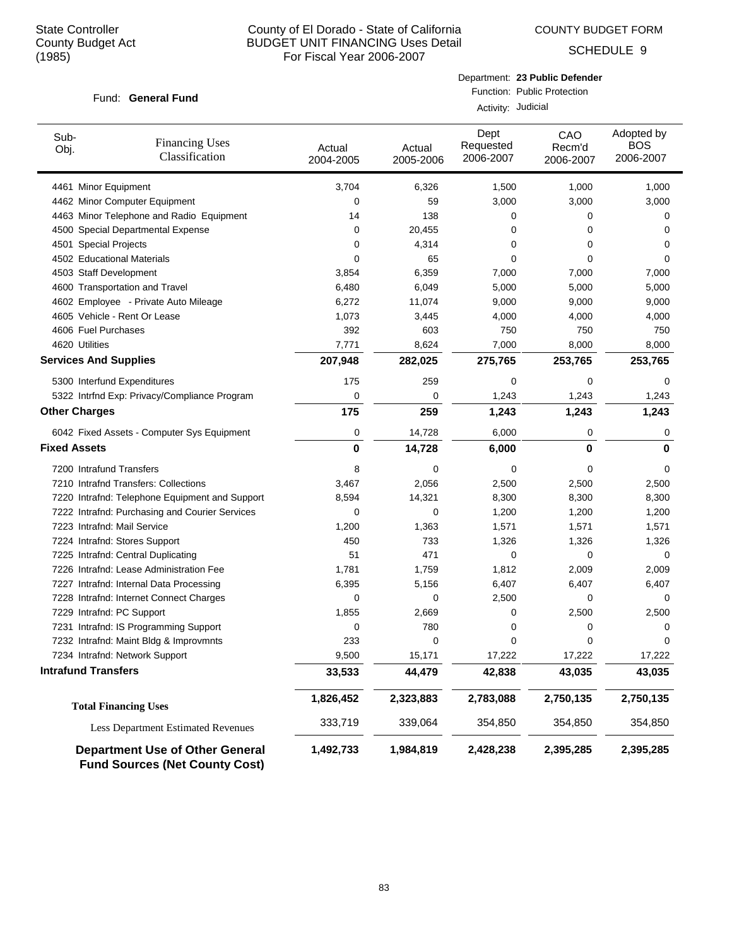COUNTY BUDGET FORM

SCHEDULE 9

#### Fund: General Fund

Department: **23 Public Defender** Function: Public Protection

Activity: Judicial

| Sub-<br>Obj.                 | <b>Financing Uses</b><br>Classification                                         | Actual<br>2004-2005 | Actual<br>2005-2006 | Dept<br>Requested<br>2006-2007 | CAO<br>Recm'd<br>2006-2007 | Adopted by<br><b>BOS</b><br>2006-2007 |
|------------------------------|---------------------------------------------------------------------------------|---------------------|---------------------|--------------------------------|----------------------------|---------------------------------------|
| 4461 Minor Equipment         |                                                                                 | 3,704               | 6,326               | 1,500                          | 1,000                      | 1,000                                 |
|                              | 4462 Minor Computer Equipment                                                   | $\Omega$            | 59                  | 3,000                          | 3,000                      | 3,000                                 |
|                              | 4463 Minor Telephone and Radio Equipment                                        | 14                  | 138                 | 0                              | 0                          | 0                                     |
|                              | 4500 Special Departmental Expense                                               | 0                   | 20,455              | 0                              | $\Omega$                   | 0                                     |
| 4501 Special Projects        |                                                                                 | 0                   | 4,314               | 0                              | 0                          | 0                                     |
|                              | 4502 Educational Materials                                                      | $\Omega$            | 65                  | $\mathbf 0$                    | 0                          | 0                                     |
| 4503 Staff Development       |                                                                                 | 3,854               | 6,359               | 7,000                          | 7,000                      | 7,000                                 |
|                              | 4600 Transportation and Travel                                                  | 6,480               | 6,049               | 5,000                          | 5,000                      | 5,000                                 |
|                              | 4602 Employee - Private Auto Mileage                                            | 6,272               | 11,074              | 9,000                          | 9,000                      | 9,000                                 |
|                              | 4605 Vehicle - Rent Or Lease                                                    | 1,073               | 3,445               | 4,000                          | 4,000                      | 4,000                                 |
| 4606 Fuel Purchases          |                                                                                 | 392                 | 603                 | 750                            | 750                        | 750                                   |
| 4620 Utilities               |                                                                                 | 7,771               | 8,624               | 7,000                          | 8,000                      | 8,000                                 |
| <b>Services And Supplies</b> |                                                                                 | 207,948             | 282,025             | 275,765                        | 253,765                    | 253,765                               |
|                              | 5300 Interfund Expenditures                                                     | 175                 | 259                 | 0                              | $\mathbf 0$                | 0                                     |
|                              | 5322 Intrfnd Exp: Privacy/Compliance Program                                    | $\Omega$            | 0                   | 1,243                          | 1,243                      | 1,243                                 |
| <b>Other Charges</b>         |                                                                                 | 175                 | 259                 | 1,243                          | 1,243                      | 1,243                                 |
|                              | 6042 Fixed Assets - Computer Sys Equipment                                      | $\mathbf 0$         | 14,728              | 6,000                          | 0                          | 0                                     |
| <b>Fixed Assets</b>          |                                                                                 | 0                   | 14,728              | 6,000                          | 0                          | 0                                     |
| 7200 Intrafund Transfers     |                                                                                 | 8                   | 0                   | 0                              | $\Omega$                   | 0                                     |
|                              | 7210 Intrafnd Transfers: Collections                                            | 3,467               | 2,056               | 2,500                          | 2,500                      | 2,500                                 |
|                              | 7220 Intrafnd: Telephone Equipment and Support                                  | 8,594               | 14,321              | 8,300                          | 8,300                      | 8,300                                 |
|                              | 7222 Intrafnd: Purchasing and Courier Services                                  | 0                   | 0                   | 1,200                          | 1,200                      | 1,200                                 |
| 7223 Intrafnd: Mail Service  |                                                                                 | 1,200               | 1,363               | 1,571                          | 1,571                      | 1,571                                 |
|                              | 7224 Intrafnd: Stores Support                                                   | 450                 | 733                 | 1,326                          | 1,326                      | 1,326                                 |
|                              | 7225 Intrafnd: Central Duplicating                                              | 51                  | 471                 | 0                              | 0                          | 0                                     |
|                              | 7226 Intrafnd: Lease Administration Fee                                         | 1,781               | 1,759               | 1,812                          | 2,009                      | 2,009                                 |
|                              | 7227 Intrafnd: Internal Data Processing                                         | 6,395               | 5,156               | 6,407                          | 6,407                      | 6,407                                 |
|                              | 7228 Intrafnd: Internet Connect Charges                                         | 0                   | 0                   | 2,500                          | $\mathbf 0$                | 0                                     |
| 7229 Intrafnd: PC Support    |                                                                                 | 1,855               | 2,669               | 0                              | 2,500                      | 2,500                                 |
|                              | 7231 Intrafnd: IS Programming Support                                           | 0                   | 780                 | 0                              | 0                          | 0                                     |
|                              | 7232 Intrafnd: Maint Bldg & Improvmnts                                          | 233                 | 0                   | 0                              | 0                          | 0                                     |
|                              | 7234 Intrafnd: Network Support                                                  | 9,500               | 15,171              | 17,222                         | 17,222                     | 17,222                                |
| <b>Intrafund Transfers</b>   |                                                                                 | 33,533              | 44,479              | 42,838                         | 43,035                     | 43,035                                |
|                              | <b>Total Financing Uses</b>                                                     | 1,826,452           | 2,323,883           | 2,783,088                      | 2,750,135                  | 2,750,135                             |
|                              | <b>Less Department Estimated Revenues</b>                                       | 333,719             | 339,064             | 354,850                        | 354,850                    | 354,850                               |
|                              | <b>Department Use of Other General</b><br><b>Fund Sources (Net County Cost)</b> | 1,492,733           | 1,984,819           | 2,428,238                      | 2,395,285                  | 2,395,285                             |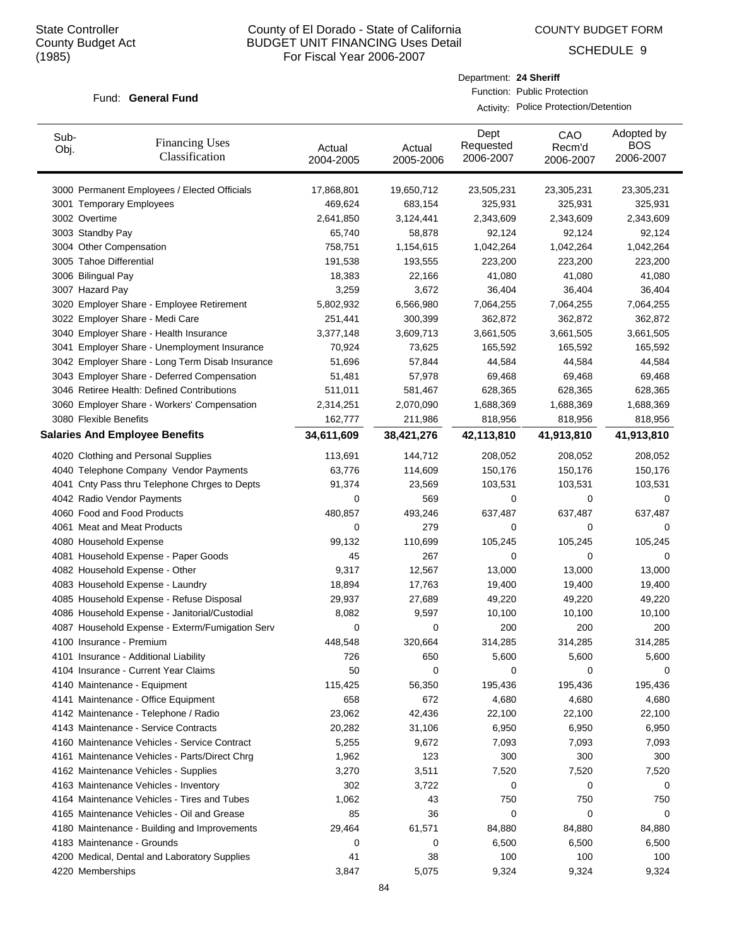Sub-Obj.

# County of El Dorado - State of California BUDGET UNIT FINANCING Uses Detail For Fiscal Year 2006-2007

Actual

Dept Requested

Department: **24 Sheriff**

Function: Public Protection

Activity: Police Protection/Detention

CAO Recm'd

Actual

COUNTY BUDGET FORM

SCHEDULE 9

Adopted by **BOS** 

#### Fund: General Fund

Financing Uses

| Uυj. | Classification                                  | , www<br>2004-2005 | , www<br>2005-2006 | 2006-2007  | .<br>2006-2007 | 2006-2007  |
|------|-------------------------------------------------|--------------------|--------------------|------------|----------------|------------|
|      | 3000 Permanent Employees / Elected Officials    | 17,868,801         | 19,650,712         | 23,505,231 | 23,305,231     | 23,305,231 |
|      | 3001 Temporary Employees                        | 469,624            | 683,154            | 325,931    | 325,931        | 325,931    |
|      | 3002 Overtime                                   | 2,641,850          | 3,124,441          | 2,343,609  | 2,343,609      | 2,343,609  |
|      | 3003 Standby Pay                                | 65,740             | 58,878             | 92,124     | 92,124         | 92,124     |
|      | 3004 Other Compensation                         | 758,751            | 1,154,615          | 1,042,264  | 1,042,264      | 1,042,264  |
|      | 3005 Tahoe Differential                         | 191,538            | 193,555            | 223,200    | 223,200        | 223,200    |
|      | 3006 Bilingual Pay                              | 18,383             | 22,166             | 41,080     | 41,080         | 41,080     |
|      | 3007 Hazard Pay                                 | 3,259              | 3,672              | 36,404     | 36,404         | 36,404     |
|      | 3020 Employer Share - Employee Retirement       | 5,802,932          | 6,566,980          | 7,064,255  | 7,064,255      | 7,064,255  |
|      | 3022 Employer Share - Medi Care                 | 251,441            | 300,399            | 362,872    | 362,872        | 362,872    |
|      | 3040 Employer Share - Health Insurance          | 3,377,148          | 3,609,713          | 3,661,505  | 3,661,505      | 3,661,505  |
|      | 3041 Employer Share - Unemployment Insurance    | 70,924             | 73,625             | 165,592    | 165,592        | 165,592    |
|      | 3042 Employer Share - Long Term Disab Insurance | 51,696             | 57,844             | 44,584     | 44,584         | 44,584     |
|      | 3043 Employer Share - Deferred Compensation     | 51,481             | 57,978             | 69,468     | 69,468         | 69,468     |
|      | 3046 Retiree Health: Defined Contributions      | 511,011            | 581,467            | 628,365    | 628,365        | 628,365    |
|      | 3060 Employer Share - Workers' Compensation     | 2,314,251          | 2,070,090          | 1,688,369  | 1,688,369      | 1,688,369  |
|      | 3080 Flexible Benefits                          | 162,777            | 211,986            | 818,956    | 818,956        | 818,956    |
|      | <b>Salaries And Employee Benefits</b>           | 34,611,609         | 38,421,276         | 42,113,810 | 41,913,810     | 41,913,810 |
|      | 4020 Clothing and Personal Supplies             | 113,691            | 144,712            | 208,052    | 208,052        | 208,052    |
|      | 4040 Telephone Company Vendor Payments          | 63,776             | 114,609            | 150,176    | 150,176        | 150,176    |
|      | 4041 Cnty Pass thru Telephone Chrges to Depts   | 91,374             | 23,569             | 103,531    | 103,531        | 103,531    |
|      | 4042 Radio Vendor Payments                      | 0                  | 569                | 0          | 0              | 0          |
|      | 4060 Food and Food Products                     | 480,857            | 493,246            | 637,487    | 637,487        | 637,487    |
|      | 4061 Meat and Meat Products                     | 0                  | 279                | 0          | 0              | 0          |
|      | 4080 Household Expense                          | 99,132             | 110,699            | 105,245    | 105,245        | 105,245    |
|      | 4081 Household Expense - Paper Goods            | 45                 | 267                | 0          | 0              | 0          |
|      | 4082 Household Expense - Other                  | 9,317              | 12,567             | 13,000     | 13,000         | 13,000     |
|      | 4083 Household Expense - Laundry                | 18,894             | 17,763             | 19,400     | 19,400         | 19,400     |
|      | 4085 Household Expense - Refuse Disposal        | 29,937             | 27,689             | 49,220     | 49,220         | 49,220     |
|      | 4086 Household Expense - Janitorial/Custodial   | 8,082              | 9,597              | 10,100     | 10,100         | 10,100     |
|      | 4087 Household Expense - Exterm/Fumigation Serv | 0                  | 0                  | 200        | 200            | 200        |
|      | 4100 Insurance - Premium                        | 448,548            | 320,664            | 314,285    | 314,285        | 314,285    |
|      | 4101 Insurance - Additional Liability           | 726                | 650                | 5,600      | 5,600          | 5,600      |
|      | 4104 Insurance - Current Year Claims            | 50                 | 0                  | 0          | 0              | 0          |
|      | 4140 Maintenance - Equipment                    | 115,425            | 56,350             | 195,436    | 195,436        | 195,436    |
|      | 4141 Maintenance - Office Equipment             | 658                | 672                | 4,680      | 4,680          | 4,680      |
|      | 4142 Maintenance - Telephone / Radio            | 23,062             | 42,436             | 22,100     | 22,100         | 22,100     |
|      | 4143 Maintenance - Service Contracts            | 20,282             | 31,106             | 6,950      | 6,950          | 6,950      |
|      | 4160 Maintenance Vehicles - Service Contract    | 5,255              | 9,672              | 7,093      | 7,093          | 7,093      |
|      | 4161 Maintenance Vehicles - Parts/Direct Chrg   | 1,962              | 123                | 300        | 300            | 300        |
|      | 4162 Maintenance Vehicles - Supplies            | 3,270              | 3,511              | 7,520      | 7,520          | 7,520      |
|      | 4163 Maintenance Vehicles - Inventory           | 302                | 3,722              | 0          | 0              | 0          |
|      | 4164 Maintenance Vehicles - Tires and Tubes     | 1,062              | 43                 | 750        | 750            | 750        |
|      | 4165 Maintenance Vehicles - Oil and Grease      | 85                 | 36                 | 0          | 0              | 0          |
|      | 4180 Maintenance - Building and Improvements    | 29,464             | 61,571             | 84,880     | 84,880         | 84,880     |
|      | 4183 Maintenance - Grounds                      | 0                  | 0                  | 6,500      | 6,500          | 6,500      |
|      | 4200 Medical, Dental and Laboratory Supplies    | 41                 | 38                 | 100        | 100            | 100        |
|      | 4220 Memberships                                | 3,847              | 5,075              | 9,324      | 9,324          | 9,324      |

84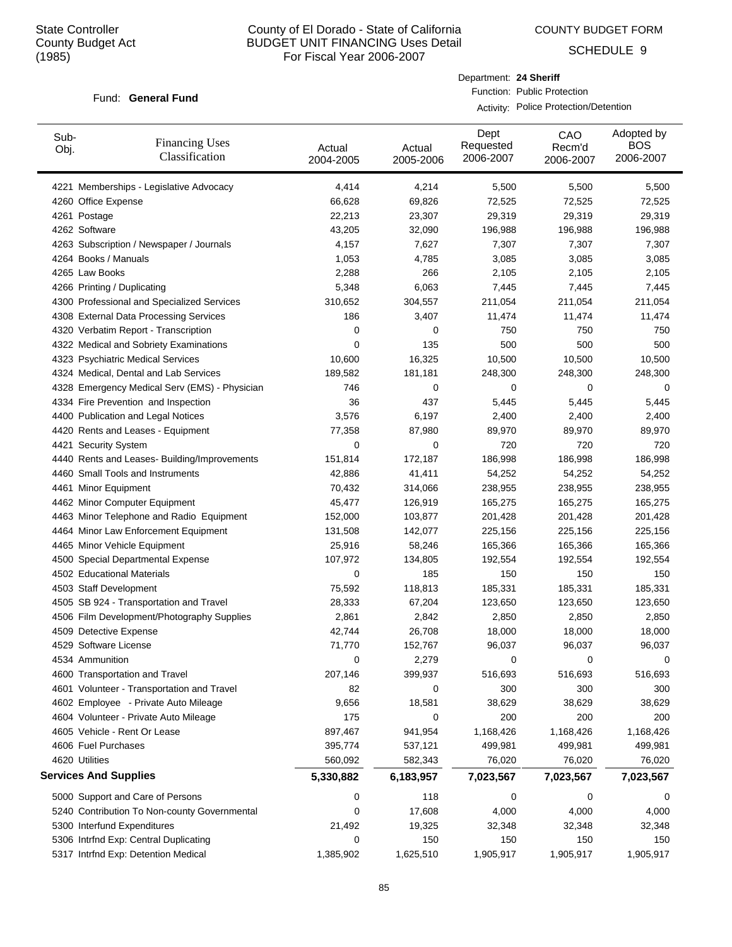COUNTY BUDGET FORM

SCHEDULE 9

#### Fund: General Fund

Department: **24 Sheriff** Function: Public Protection

Activity: Police Protection/Detention

| Sub-<br>Obj. | <b>Financing Uses</b><br>Classification                                       | Actual<br>2004-2005 | Actual<br>2005-2006 | Dept<br>Requested<br>2006-2007 | CAO<br>Recm'd<br>2006-2007 | Adopted by<br><b>BOS</b><br>2006-2007 |
|--------------|-------------------------------------------------------------------------------|---------------------|---------------------|--------------------------------|----------------------------|---------------------------------------|
|              | 4221 Memberships - Legislative Advocacy                                       | 4,414               | 4,214               | 5,500                          | 5,500                      | 5,500                                 |
|              | 4260 Office Expense                                                           | 66,628              | 69,826              | 72,525                         | 72,525                     | 72,525                                |
|              | 4261 Postage                                                                  | 22,213              | 23,307              | 29,319                         | 29,319                     | 29,319                                |
|              | 4262 Software                                                                 | 43,205              | 32,090              | 196,988                        | 196,988                    | 196,988                               |
|              | 4263 Subscription / Newspaper / Journals                                      | 4,157               | 7,627               | 7,307                          | 7,307                      | 7,307                                 |
|              | 4264 Books / Manuals                                                          | 1,053               | 4,785               | 3,085                          | 3,085                      | 3,085                                 |
|              | 4265 Law Books                                                                | 2,288               | 266                 | 2,105                          | 2,105                      | 2,105                                 |
|              | 4266 Printing / Duplicating                                                   | 5,348               | 6,063               | 7,445                          | 7,445                      | 7,445                                 |
|              | 4300 Professional and Specialized Services                                    | 310,652             | 304,557             | 211,054                        | 211,054                    | 211,054                               |
|              | 4308 External Data Processing Services                                        | 186                 | 3,407               | 11,474                         | 11,474                     | 11,474                                |
|              | 4320 Verbatim Report - Transcription                                          | 0                   | 0                   | 750                            | 750                        | 750                                   |
|              | 4322 Medical and Sobriety Examinations                                        | 0                   | 135                 | 500                            | 500                        | 500                                   |
|              | 4323 Psychiatric Medical Services                                             | 10,600              | 16,325              | 10,500                         | 10,500                     | 10,500                                |
|              | 4324 Medical, Dental and Lab Services                                         | 189,582             | 181,181             | 248,300                        | 248,300                    | 248,300                               |
|              | 4328 Emergency Medical Serv (EMS) - Physician                                 | 746                 | 0                   | 0                              | 0                          | 0                                     |
|              | 4334 Fire Prevention and Inspection                                           | 36                  | 437                 | 5,445                          | 5,445                      | 5,445                                 |
|              | 4400 Publication and Legal Notices                                            | 3,576               | 6,197               | 2,400                          | 2,400                      | 2,400                                 |
|              | 4420 Rents and Leases - Equipment                                             | 77,358              | 87,980              | 89,970                         | 89,970                     | 89,970                                |
|              | 4421 Security System                                                          | 0                   | 0                   | 720                            | 720                        | 720                                   |
|              | 4440 Rents and Leases- Building/Improvements                                  | 151,814             | 172,187             | 186,998                        | 186,998                    | 186,998                               |
|              | 4460 Small Tools and Instruments                                              | 42,886              | 41,411              | 54,252                         | 54,252                     | 54,252                                |
|              | 4461 Minor Equipment                                                          | 70,432              | 314,066             | 238,955                        | 238,955                    | 238,955                               |
|              | 4462 Minor Computer Equipment                                                 | 45,477              | 126,919             | 165,275                        | 165,275                    | 165,275                               |
|              | 4463 Minor Telephone and Radio Equipment                                      | 152,000             | 103,877             | 201,428                        | 201,428                    | 201,428                               |
|              | 4464 Minor Law Enforcement Equipment                                          | 131,508             | 142,077             | 225,156                        | 225,156                    | 225,156                               |
|              | 4465 Minor Vehicle Equipment                                                  | 25,916              | 58,246              | 165,366                        | 165,366                    | 165,366                               |
|              | 4500 Special Departmental Expense                                             | 107,972             | 134,805             | 192,554                        | 192,554                    | 192,554                               |
|              | 4502 Educational Materials                                                    | 0                   | 185                 | 150                            | 150                        | 150                                   |
|              | 4503 Staff Development                                                        | 75,592              | 118,813             | 185,331                        | 185,331                    | 185,331                               |
|              | 4505 SB 924 - Transportation and Travel                                       | 28,333              | 67,204              | 123,650                        | 123,650                    | 123,650                               |
|              | 4506 Film Development/Photography Supplies                                    | 2,861               |                     | 2,850                          |                            |                                       |
|              |                                                                               | 42,744              | 2,842<br>26,708     |                                | 2,850                      | 2,850<br>18,000                       |
|              | 4509 Detective Expense<br>4529 Software License                               | 71,770              | 152,767             | 18,000<br>96,037               | 18,000<br>96,037           | 96,037                                |
|              | 4534 Ammunition                                                               | $\Omega$            | 2,279               | 0                              | $\Omega$                   | 0                                     |
|              | 4600 Transportation and Travel                                                | 207,146             |                     | 516,693                        | 516,693                    | 516,693                               |
|              | 4601 Volunteer - Transportation and Travel                                    | 82                  | 399,937<br>0        | 300                            | 300                        | 300                                   |
|              |                                                                               |                     |                     |                                |                            | 38,629                                |
|              | 4602 Employee - Private Auto Mileage<br>4604 Volunteer - Private Auto Mileage | 9,656<br>175        | 18,581<br>0         | 38,629<br>200                  | 38,629                     | 200                                   |
|              |                                                                               |                     |                     |                                | 200<br>1,168,426           |                                       |
|              | 4605 Vehicle - Rent Or Lease<br>4606 Fuel Purchases                           | 897,467             | 941,954             | 1,168,426                      |                            | 1,168,426                             |
|              | 4620 Utilities                                                                | 395,774<br>560,092  | 537,121             | 499,981                        | 499,981<br>76,020          | 499,981                               |
|              |                                                                               |                     | 582,343             | 76,020                         |                            | 76,020                                |
|              | <b>Services And Supplies</b>                                                  | 5,330,882           | 6,183,957           | 7,023,567                      | 7,023,567                  | 7,023,567                             |
|              | 5000 Support and Care of Persons                                              | 0                   | 118                 | 0                              | 0                          | 0                                     |
|              | 5240 Contribution To Non-county Governmental                                  | 0                   | 17,608              | 4,000                          | 4,000                      | 4,000                                 |
|              | 5300 Interfund Expenditures                                                   | 21,492              | 19,325              | 32,348                         | 32,348                     | 32,348                                |
|              | 5306 Intrfnd Exp: Central Duplicating                                         | 0                   | 150                 | 150                            | 150                        | 150                                   |
|              | 5317 Intrfnd Exp: Detention Medical                                           | 1,385,902           | 1,625,510           | 1,905,917                      | 1,905,917                  | 1,905,917                             |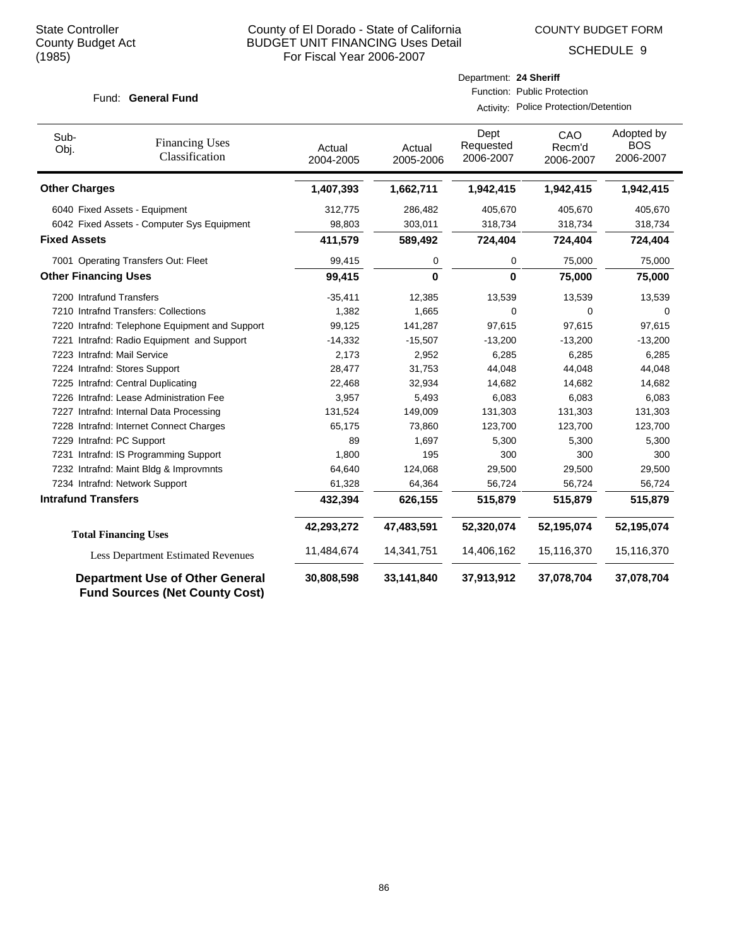COUNTY BUDGET FORM

Department: **24 Sheriff**

Function: Public Protection

Activity: Police Protection/Detention

SCHEDULE 9

#### Fund: General Fund

| Sub-<br>Obj.                | <b>Financing Uses</b><br>Classification                                         | Actual<br>2004-2005 | Actual<br>2005-2006 | Dept<br>Requested<br>2006-2007 | CAO<br>Recm'd<br>2006-2007 | Adopted by<br><b>BOS</b><br>2006-2007 |
|-----------------------------|---------------------------------------------------------------------------------|---------------------|---------------------|--------------------------------|----------------------------|---------------------------------------|
| <b>Other Charges</b>        |                                                                                 | 1,407,393           | 1,662,711           | 1,942,415                      | 1,942,415                  | 1,942,415                             |
|                             | 6040 Fixed Assets - Equipment                                                   | 312,775             | 286,482             | 405,670                        | 405,670                    | 405,670                               |
|                             | 6042 Fixed Assets - Computer Sys Equipment                                      | 98,803              | 303,011             | 318,734                        | 318,734                    | 318,734                               |
| <b>Fixed Assets</b>         |                                                                                 | 411,579             | 589,492             | 724,404                        | 724,404                    | 724,404                               |
|                             | 7001 Operating Transfers Out: Fleet                                             | 99,415              | 0                   | 0                              | 75,000                     | 75,000                                |
| <b>Other Financing Uses</b> |                                                                                 | 99,415              | 0                   | $\bf{0}$                       | 75,000                     | 75,000                                |
| 7200 Intrafund Transfers    |                                                                                 | $-35,411$           | 12,385              | 13,539                         | 13,539                     | 13,539                                |
|                             | 7210 Intrafnd Transfers: Collections                                            | 1,382               | 1,665               | 0                              | 0                          | 0                                     |
|                             | 7220 Intrafnd: Telephone Equipment and Support                                  | 99,125              | 141,287             | 97,615                         | 97,615                     | 97,615                                |
| 7221                        | Intrafnd: Radio Equipment and Support                                           | $-14,332$           | $-15,507$           | $-13,200$                      | $-13,200$                  | $-13,200$                             |
| 7223 Intrafnd: Mail Service |                                                                                 | 2,173               | 2,952               | 6,285                          | 6,285                      | 6,285                                 |
|                             | 7224 Intrafnd: Stores Support                                                   | 28,477              | 31,753              | 44,048                         | 44,048                     | 44,048                                |
|                             | 7225 Intrafnd: Central Duplicating                                              | 22,468              | 32,934              | 14,682                         | 14,682                     | 14,682                                |
|                             | 7226 Intrafnd: Lease Administration Fee                                         | 3,957               | 5,493               | 6,083                          | 6,083                      | 6,083                                 |
|                             | 7227 Intrafnd: Internal Data Processing                                         | 131,524             | 149,009             | 131,303                        | 131,303                    | 131,303                               |
|                             | 7228 Intrafnd: Internet Connect Charges                                         | 65,175              | 73,860              | 123,700                        | 123,700                    | 123,700                               |
| 7229 Intrafnd: PC Support   |                                                                                 | 89                  | 1,697               | 5,300                          | 5,300                      | 5,300                                 |
|                             | 7231 Intrafnd: IS Programming Support                                           | 1,800               | 195                 | 300                            | 300                        | 300                                   |
|                             | 7232 Intrafnd: Maint Bldg & Improvmnts                                          | 64,640              | 124,068             | 29,500                         | 29,500                     | 29,500                                |
|                             | 7234 Intrafnd: Network Support                                                  | 61,328              | 64,364              | 56,724                         | 56,724                     | 56,724                                |
| <b>Intrafund Transfers</b>  |                                                                                 | 432,394             | 626,155             | 515,879                        | 515,879                    | 515,879                               |
|                             | <b>Total Financing Uses</b>                                                     | 42,293,272          | 47,483,591          | 52,320,074                     | 52,195,074                 | 52,195,074                            |
|                             | <b>Less Department Estimated Revenues</b>                                       | 11,484,674          | 14,341,751          | 14,406,162                     | 15,116,370                 | 15,116,370                            |
|                             | <b>Department Use of Other General</b><br><b>Fund Sources (Net County Cost)</b> | 30,808,598          | 33,141,840          | 37,913,912                     | 37,078,704                 | 37,078,704                            |

86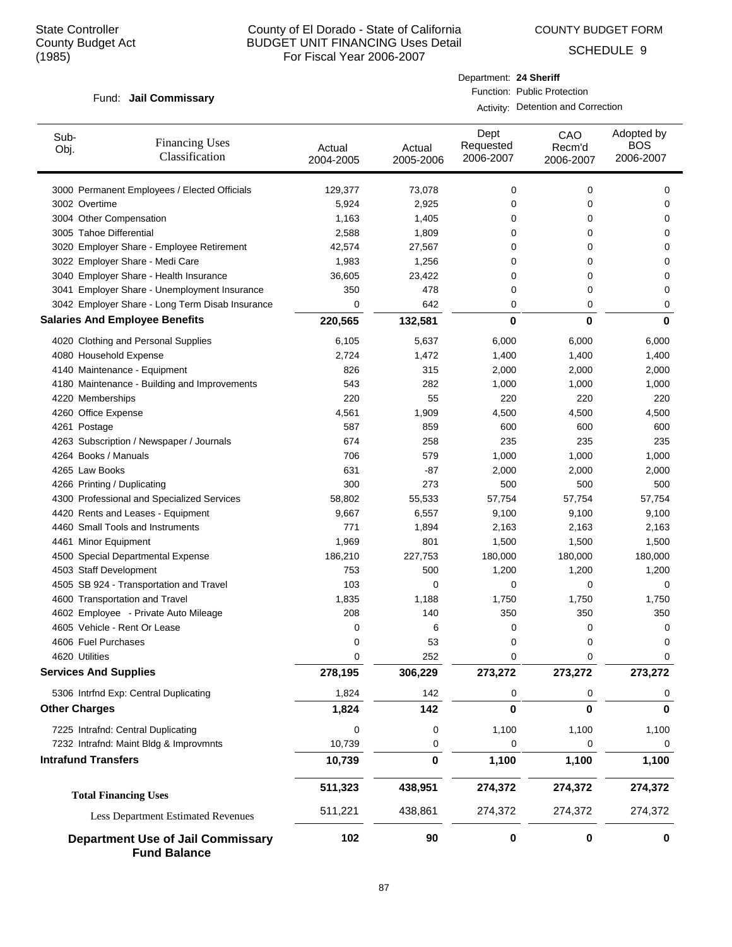COUNTY BUDGET FORM

SCHEDULE 9

#### Fund: Jail Commissary

Activity: Detention and Correction

| Sub-<br>Obj.         | <b>Financing Uses</b><br>Classification                         | Actual<br>2004-2005 | Actual<br>2005-2006 | Dept<br>Requested<br>2006-2007 | CAO<br>Recm'd<br>2006-2007 | Adopted by<br><b>BOS</b><br>2006-2007 |
|----------------------|-----------------------------------------------------------------|---------------------|---------------------|--------------------------------|----------------------------|---------------------------------------|
|                      | 3000 Permanent Employees / Elected Officials                    | 129,377             | 73,078              | 0                              | 0                          | 0                                     |
| 3002 Overtime        |                                                                 | 5,924               | 2,925               | 0                              | 0                          | 0                                     |
|                      | 3004 Other Compensation                                         | 1,163               | 1,405               | 0                              | 0                          | 0                                     |
|                      | 3005 Tahoe Differential                                         | 2,588               | 1,809               | 0                              | 0                          | 0                                     |
|                      | 3020 Employer Share - Employee Retirement                       | 42,574              | 27,567              | 0                              | 0                          | 0                                     |
|                      | 3022 Employer Share - Medi Care                                 | 1,983               | 1,256               | 0                              | 0                          | 0                                     |
|                      | 3040 Employer Share - Health Insurance                          | 36,605              | 23,422              | 0                              | 0                          | 0                                     |
|                      | 3041 Employer Share - Unemployment Insurance                    | 350                 | 478                 | 0                              | 0                          | 0                                     |
|                      | 3042 Employer Share - Long Term Disab Insurance                 | 0                   | 642                 | 0                              | 0                          | 0                                     |
|                      | <b>Salaries And Employee Benefits</b>                           | 220,565             | 132,581             | $\bf{0}$                       | $\bf{0}$                   | 0                                     |
|                      | 4020 Clothing and Personal Supplies                             | 6,105               | 5,637               | 6,000                          | 6,000                      | 6,000                                 |
|                      | 4080 Household Expense                                          | 2,724               | 1,472               | 1,400                          | 1,400                      | 1,400                                 |
|                      | 4140 Maintenance - Equipment                                    | 826                 | 315                 | 2,000                          | 2,000                      | 2,000                                 |
|                      | 4180 Maintenance - Building and Improvements                    | 543                 | 282                 | 1,000                          | 1,000                      | 1,000                                 |
|                      | 4220 Memberships                                                | 220                 | 55                  | 220                            | 220                        | 220                                   |
|                      | 4260 Office Expense                                             | 4,561               | 1,909               | 4,500                          | 4,500                      | 4,500                                 |
| 4261 Postage         |                                                                 | 587                 | 859                 | 600                            | 600                        | 600                                   |
|                      | 4263 Subscription / Newspaper / Journals                        | 674                 | 258                 | 235                            | 235                        | 235                                   |
|                      | 4264 Books / Manuals                                            | 706                 | 579                 | 1,000                          | 1,000                      | 1,000                                 |
| 4265 Law Books       |                                                                 | 631                 | $-87$               | 2,000                          | 2,000                      | 2,000                                 |
|                      | 4266 Printing / Duplicating                                     | 300                 | 273                 | 500                            | 500                        | 500                                   |
|                      | 4300 Professional and Specialized Services                      | 58,802              | 55,533              | 57,754                         | 57,754                     | 57,754                                |
|                      | 4420 Rents and Leases - Equipment                               | 9,667               | 6,557               | 9,100                          | 9,100                      | 9,100                                 |
|                      | 4460 Small Tools and Instruments                                | 771                 | 1,894               | 2,163                          | 2,163                      | 2,163                                 |
|                      | 4461 Minor Equipment                                            | 1,969               | 801                 | 1,500                          | 1,500                      | 1,500                                 |
|                      | 4500 Special Departmental Expense                               | 186,210             | 227,753             | 180,000                        | 180,000                    | 180,000                               |
|                      | 4503 Staff Development                                          | 753                 | 500                 | 1,200                          | 1,200                      | 1,200                                 |
|                      | 4505 SB 924 - Transportation and Travel                         | 103                 | 0                   | 0                              | 0                          | 0                                     |
|                      | 4600 Transportation and Travel                                  | 1,835               | 1,188               | 1,750                          | 1,750                      | 1,750                                 |
|                      | 4602 Employee - Private Auto Mileage                            | 208                 | 140                 | 350                            | 350                        | 350                                   |
|                      | 4605 Vehicle - Rent Or Lease                                    | 0                   | 6                   | 0                              | 0                          | 0                                     |
|                      | 4606 Fuel Purchases                                             | 0                   | 53                  | 0                              | 0                          | 0                                     |
| 4620 Utilities       |                                                                 | 0                   | 252                 | 0                              |                            | 0                                     |
|                      | <b>Services And Supplies</b>                                    | 278,195             | 306,229             | 273,272                        | 273,272                    | 273,272                               |
|                      | 5306 Intrfnd Exp: Central Duplicating                           | 1,824               | 142                 | 0                              | 0                          |                                       |
| <b>Other Charges</b> |                                                                 | 1,824               | 142                 | 0                              | 0                          | 0                                     |
|                      | 7225 Intrafnd: Central Duplicating                              | 0                   | 0                   | 1,100                          | 1,100                      | 1,100                                 |
|                      | 7232 Intrafnd: Maint Bldg & Improvmnts                          | 10,739              | 0                   | 0                              | 0                          | 0                                     |
|                      | <b>Intrafund Transfers</b>                                      | 10,739              | 0                   | 1,100                          | 1,100                      | 1,100                                 |
|                      | <b>Total Financing Uses</b>                                     | 511,323             | 438,951             | 274,372                        | 274,372                    | 274,372                               |
|                      | <b>Less Department Estimated Revenues</b>                       | 511,221             | 438,861             | 274,372                        | 274,372                    | 274,372                               |
|                      | <b>Department Use of Jail Commissary</b><br><b>Fund Balance</b> | 102                 | 90                  | 0                              | 0                          | 0                                     |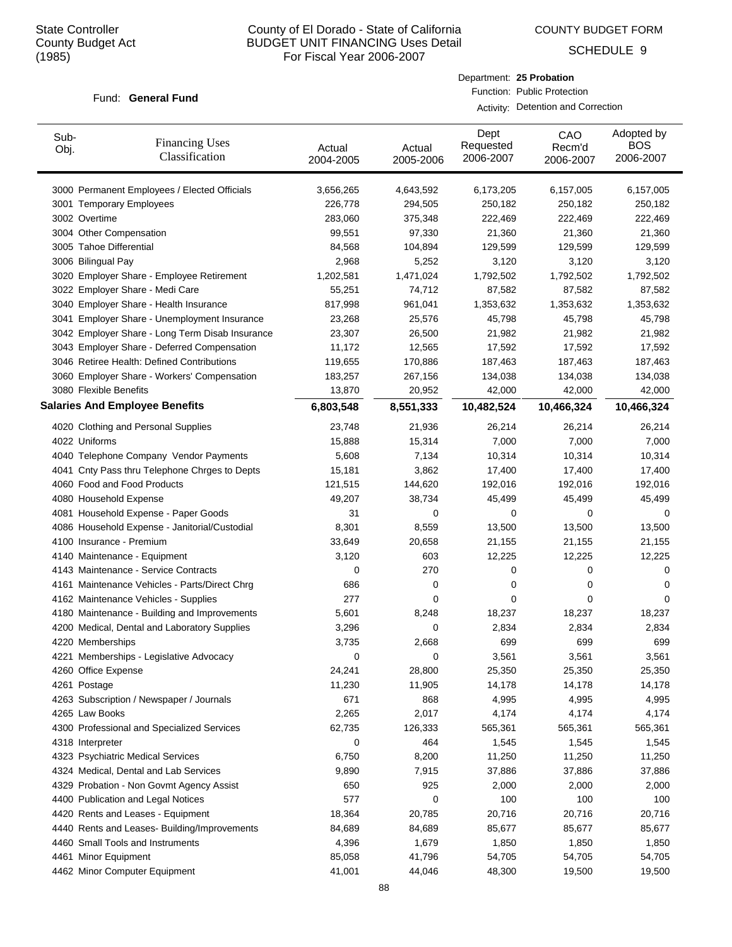Sub-

# County of El Dorado - State of California BUDGET UNIT FINANCING Uses Detail For Fiscal Year 2006-2007

COUNTY BUDGET FORM

Dept

Department: **25 Probation** Function: Public Protection

Activity: Detention and Correction

CAO

SCHEDULE 9

Adopted by

#### Fund: General Fund

| Sub-<br>Obj. | <b>Financing Uses</b><br>Classification         | Actual<br>2004-2005 | Actual<br>2005-2006 | Pvp.<br>Requested<br>2006-2007 | UAU<br>Recm'd<br>2006-2007 | , woptou by<br><b>BOS</b><br>2006-2007 |
|--------------|-------------------------------------------------|---------------------|---------------------|--------------------------------|----------------------------|----------------------------------------|
|              |                                                 |                     |                     |                                |                            |                                        |
|              | 3000 Permanent Employees / Elected Officials    | 3,656,265           | 4,643,592           | 6,173,205                      | 6,157,005                  | 6,157,005                              |
|              | 3001 Temporary Employees                        | 226,778             | 294,505             | 250,182                        | 250,182                    | 250,182                                |
|              | 3002 Overtime                                   | 283,060             | 375,348             | 222,469                        | 222,469                    | 222,469                                |
|              | 3004 Other Compensation                         | 99,551              | 97,330              | 21,360                         | 21,360                     | 21,360                                 |
|              | 3005 Tahoe Differential                         | 84,568              | 104,894             | 129,599                        | 129,599                    | 129,599                                |
|              | 3006 Bilingual Pay                              | 2,968               | 5,252               | 3,120                          | 3,120                      | 3,120                                  |
|              | 3020 Employer Share - Employee Retirement       | 1,202,581           | 1,471,024           | 1,792,502                      | 1,792,502                  | 1,792,502                              |
|              | 3022 Employer Share - Medi Care                 | 55,251              | 74,712              | 87,582                         | 87,582                     | 87,582                                 |
|              | 3040 Employer Share - Health Insurance          | 817,998             | 961,041             | 1,353,632                      | 1,353,632                  | 1,353,632                              |
|              | 3041 Employer Share - Unemployment Insurance    | 23,268              | 25,576              | 45,798                         | 45,798                     | 45,798                                 |
|              | 3042 Employer Share - Long Term Disab Insurance | 23,307              | 26,500              | 21,982                         | 21,982                     | 21,982                                 |
|              | 3043 Employer Share - Deferred Compensation     | 11,172              | 12,565              | 17,592                         | 17,592                     | 17,592                                 |
|              | 3046 Retiree Health: Defined Contributions      | 119,655             | 170,886             | 187,463                        | 187,463                    | 187,463                                |
|              | 3060 Employer Share - Workers' Compensation     | 183,257             | 267,156             | 134,038                        | 134,038                    | 134,038                                |
|              | 3080 Flexible Benefits                          | 13,870              | 20,952              | 42,000                         | 42,000                     | 42,000                                 |
|              | <b>Salaries And Employee Benefits</b>           | 6,803,548           | 8,551,333           | 10,482,524                     | 10,466,324                 | 10,466,324                             |
|              | 4020 Clothing and Personal Supplies             | 23,748              | 21,936              | 26,214                         | 26,214                     | 26,214                                 |
|              | 4022 Uniforms                                   | 15,888              | 15,314              | 7,000                          | 7,000                      | 7,000                                  |
|              | 4040 Telephone Company Vendor Payments          | 5,608               | 7,134               | 10,314                         | 10,314                     | 10,314                                 |
|              | 4041 Cnty Pass thru Telephone Chrges to Depts   | 15,181              | 3,862               | 17,400                         | 17,400                     | 17,400                                 |
|              | 4060 Food and Food Products                     | 121,515             | 144,620             | 192,016                        | 192,016                    | 192,016                                |
|              | 4080 Household Expense                          | 49,207              | 38,734              | 45,499                         | 45,499                     | 45,499                                 |
|              | 4081 Household Expense - Paper Goods            | 31                  | 0                   | 0                              | 0                          | 0                                      |
|              | 4086 Household Expense - Janitorial/Custodial   | 8,301               | 8,559               | 13,500                         | 13,500                     | 13,500                                 |
|              | 4100 Insurance - Premium                        | 33,649              | 20,658              | 21,155                         | 21,155                     | 21,155                                 |
|              | 4140 Maintenance - Equipment                    | 3,120               | 603                 | 12,225                         | 12,225                     | 12,225                                 |
|              | 4143 Maintenance - Service Contracts            | 0                   | 270                 | 0                              | 0                          | 0                                      |
|              | 4161 Maintenance Vehicles - Parts/Direct Chrg   | 686                 | 0                   | 0                              | 0                          | 0                                      |
|              | 4162 Maintenance Vehicles - Supplies            | 277                 | 0                   | 0                              | 0                          | 0                                      |
|              | 4180 Maintenance - Building and Improvements    | 5,601               | 8,248               | 18,237                         | 18,237                     | 18,237                                 |
|              | 4200 Medical, Dental and Laboratory Supplies    | 3,296               | 0                   | 2,834                          | 2,834                      | 2,834                                  |
|              | 4220 Memberships                                | 3,735               | 2,668               | 699                            | 699                        | 699                                    |
|              | 4221 Memberships - Legislative Advocacy         | 0                   | 0                   | 3,561                          | 3,561                      | 3,561                                  |
|              | 4260 Office Expense                             | 24,241              | 28,800              | 25,350                         | 25,350                     | 25,350                                 |
|              | 4261 Postage                                    | 11,230              | 11,905              | 14,178                         | 14,178                     | 14,178                                 |
|              | 4263 Subscription / Newspaper / Journals        | 671                 | 868                 | 4,995                          | 4,995                      | 4,995                                  |
|              | 4265 Law Books                                  | 2,265               | 2,017               | 4,174                          | 4,174                      | 4,174                                  |
|              | 4300 Professional and Specialized Services      | 62,735              | 126,333             | 565,361                        | 565,361                    | 565,361                                |
|              | 4318 Interpreter                                | 0                   | 464                 | 1,545                          | 1,545                      | 1,545                                  |
|              | 4323 Psychiatric Medical Services               | 6,750               | 8,200               | 11,250                         | 11,250                     | 11,250                                 |
|              | 4324 Medical, Dental and Lab Services           | 9,890               | 7,915               | 37,886                         | 37,886                     | 37,886                                 |
|              | 4329 Probation - Non Govmt Agency Assist        | 650                 | 925                 | 2,000                          | 2,000                      | 2,000                                  |
|              | 4400 Publication and Legal Notices              | 577                 | 0                   | 100                            | 100                        | 100                                    |
|              | 4420 Rents and Leases - Equipment               | 18,364              | 20,785              | 20,716                         | 20,716                     | 20,716                                 |
|              | 4440 Rents and Leases- Building/Improvements    | 84,689              | 84,689              | 85,677                         | 85,677                     | 85,677                                 |
|              | 4460 Small Tools and Instruments                | 4,396               | 1,679               | 1,850                          | 1,850                      | 1,850                                  |
|              | 4461 Minor Equipment                            | 85,058              | 41,796              | 54,705                         | 54,705                     | 54,705                                 |
|              | 4462 Minor Computer Equipment                   | 41,001              | 44,046              | 48,300                         | 19,500                     | 19,500                                 |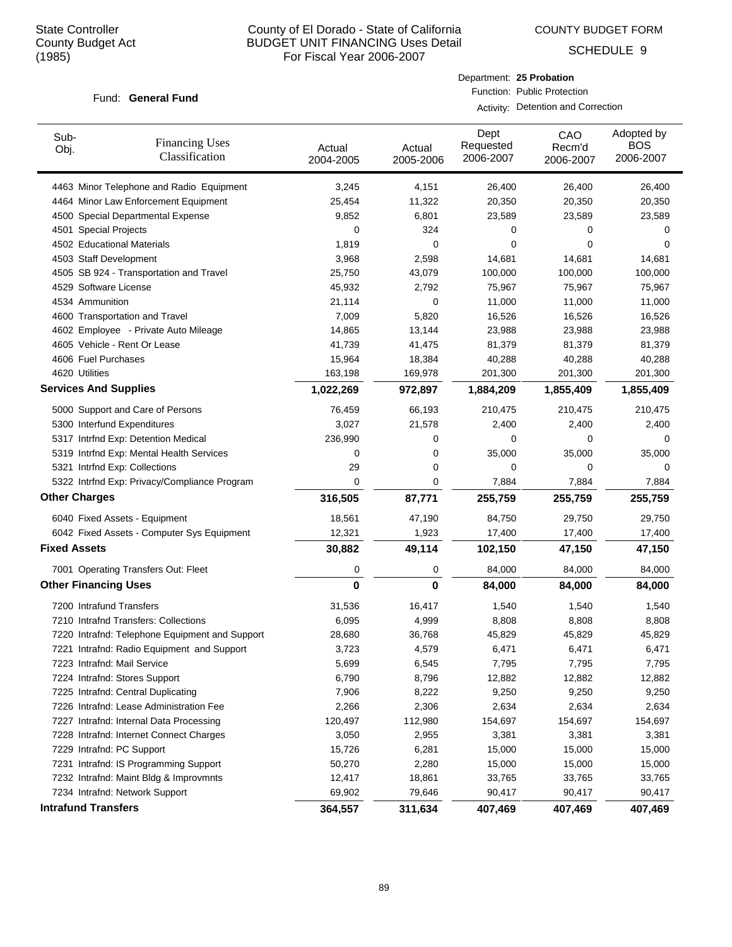COUNTY BUDGET FORM

SCHEDULE 9

#### Fund: General Fund

Department: **25 Probation** Function: Public Protection

Activity: Detention and Correction

| Sub-<br>Obj.         | <b>Financing Uses</b><br>Classification        | Actual<br>2004-2005 | Actual<br>2005-2006 | Dept<br>Requested<br>2006-2007 | CAO<br>Recm'd<br>2006-2007 | Adopted by<br><b>BOS</b><br>2006-2007 |
|----------------------|------------------------------------------------|---------------------|---------------------|--------------------------------|----------------------------|---------------------------------------|
|                      | 4463 Minor Telephone and Radio Equipment       | 3,245               | 4,151               | 26,400                         | 26,400                     | 26,400                                |
|                      | 4464 Minor Law Enforcement Equipment           | 25,454              | 11,322              | 20,350                         | 20,350                     | 20,350                                |
|                      | 4500 Special Departmental Expense              | 9,852               | 6,801               | 23,589                         | 23,589                     | 23,589                                |
|                      | 4501 Special Projects                          | 0                   | 324                 | 0                              | 0                          | 0                                     |
|                      | 4502 Educational Materials                     | 1,819               | 0                   | 0                              | 0                          | $\Omega$                              |
|                      | 4503 Staff Development                         | 3,968               | 2,598               | 14,681                         | 14,681                     | 14,681                                |
|                      | 4505 SB 924 - Transportation and Travel        | 25,750              | 43,079              | 100,000                        | 100,000                    | 100,000                               |
|                      | 4529 Software License                          | 45,932              | 2,792               | 75,967                         | 75,967                     | 75,967                                |
|                      | 4534 Ammunition                                | 21,114              | 0                   | 11,000                         | 11,000                     | 11,000                                |
|                      | 4600 Transportation and Travel                 | 7,009               | 5,820               | 16,526                         | 16,526                     | 16,526                                |
|                      | 4602 Employee - Private Auto Mileage           | 14,865              | 13,144              | 23,988                         | 23,988                     | 23,988                                |
|                      | 4605 Vehicle - Rent Or Lease                   | 41,739              | 41,475              | 81,379                         | 81,379                     | 81,379                                |
|                      | 4606 Fuel Purchases                            | 15,964              | 18,384              | 40,288                         | 40,288                     | 40,288                                |
|                      | 4620 Utilities                                 | 163,198             | 169,978             | 201,300                        | 201,300                    | 201,300                               |
|                      | <b>Services And Supplies</b>                   | 1,022,269           | 972,897             | 1,884,209                      | 1,855,409                  | 1,855,409                             |
|                      | 5000 Support and Care of Persons               | 76,459              | 66,193              | 210,475                        | 210,475                    | 210,475                               |
|                      | 5300 Interfund Expenditures                    | 3,027               | 21,578              | 2,400                          | 2,400                      | 2,400                                 |
|                      | 5317 Intrfnd Exp: Detention Medical            | 236,990             | 0                   | 0                              | 0                          | $\Omega$                              |
|                      | 5319 Intrfnd Exp: Mental Health Services       | 0                   | 0                   | 35,000                         | 35,000                     | 35,000                                |
|                      | 5321 Intrfnd Exp: Collections                  | 29                  | 0                   | 0                              | 0                          | 0                                     |
|                      | 5322 Intrfnd Exp: Privacy/Compliance Program   | 0                   | 0                   | 7,884                          | 7,884                      | 7,884                                 |
| <b>Other Charges</b> |                                                | 316,505             | 87,771              | 255,759                        | 255,759                    | 255,759                               |
|                      | 6040 Fixed Assets - Equipment                  | 18,561              | 47,190              | 84,750                         | 29,750                     | 29,750                                |
|                      | 6042 Fixed Assets - Computer Sys Equipment     | 12,321              | 1,923               | 17,400                         | 17,400                     | 17,400                                |
| <b>Fixed Assets</b>  |                                                | 30,882              | 49,114              | 102,150                        | 47,150                     | 47,150                                |
|                      | 7001 Operating Transfers Out: Fleet            | 0                   | 0                   | 84,000                         | 84,000                     | 84,000                                |
|                      | <b>Other Financing Uses</b>                    | 0                   | 0                   | 84,000                         | 84,000                     | 84,000                                |
|                      | 7200 Intrafund Transfers                       | 31,536              | 16,417              | 1,540                          | 1,540                      | 1,540                                 |
|                      | 7210 Intrafnd Transfers: Collections           | 6,095               | 4,999               | 8,808                          | 8,808                      | 8,808                                 |
|                      | 7220 Intrafnd: Telephone Equipment and Support | 28,680              | 36,768              | 45,829                         | 45,829                     | 45,829                                |
|                      | 7221 Intrafnd: Radio Equipment and Support     | 3,723               | 4,579               | 6,471                          | 6,471                      | 6,471                                 |
|                      | 7223 Intrafnd: Mail Service                    | 5,699               | 6,545               | 7,795                          | 7,795                      | 7,795                                 |
|                      | 7224 Intrafnd: Stores Support                  | 6,790               | 8,796               | 12,882                         | 12,882                     | 12,882                                |
|                      | 7225 Intrafnd: Central Duplicating             | 7,906               | 8,222               | 9,250                          | 9,250                      | 9,250                                 |
|                      | 7226 Intrafnd: Lease Administration Fee        | 2,266               | 2,306               | 2,634                          | 2,634                      | 2,634                                 |
|                      | 7227 Intrafnd: Internal Data Processing        | 120,497             | 112,980             | 154,697                        | 154,697                    | 154,697                               |
|                      | 7228 Intrafnd: Internet Connect Charges        | 3,050               | 2,955               | 3,381                          | 3,381                      | 3,381                                 |
|                      | 7229 Intrafnd: PC Support                      | 15,726              | 6,281               | 15,000                         | 15,000                     | 15,000                                |
|                      | 7231 Intrafnd: IS Programming Support          | 50,270              | 2,280               | 15,000                         | 15,000                     | 15,000                                |
|                      | 7232 Intrafnd: Maint Bldg & Improvmnts         | 12,417              | 18,861              | 33,765                         | 33,765                     | 33,765                                |
|                      | 7234 Intrafnd: Network Support                 | 69,902              | 79,646              | 90,417                         | 90,417                     | 90,417                                |
|                      | <b>Intrafund Transfers</b>                     | 364,557             | 311,634             | 407,469                        | 407,469                    | 407,469                               |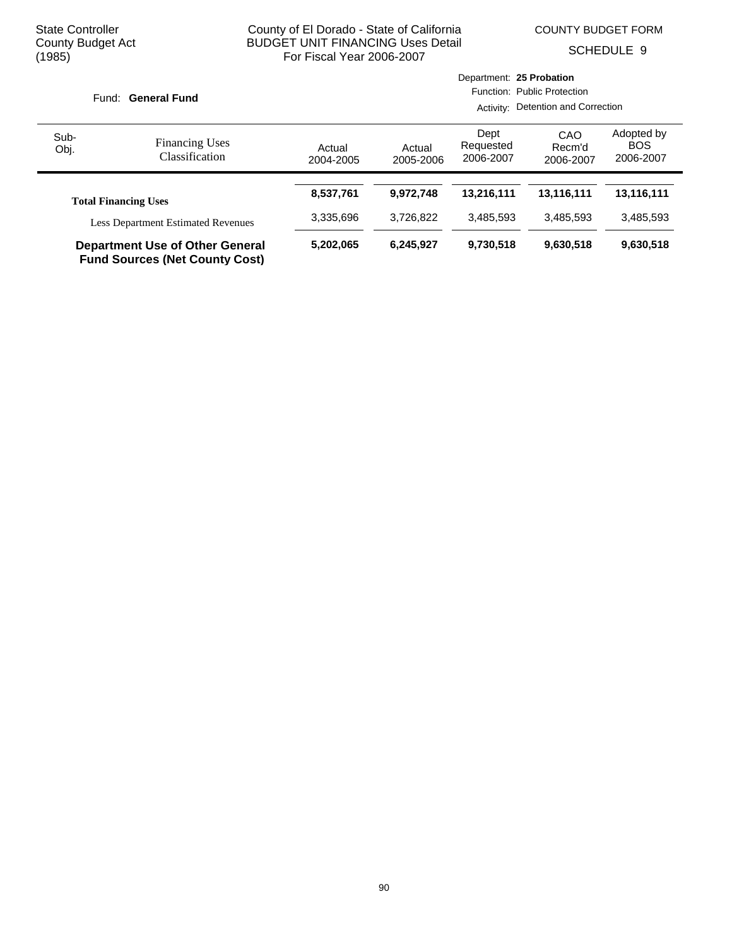COUNTY BUDGET FORM

SCHEDULE 9

|                                                                                 |                                         |                             |                                    | Department: 25 Probation       |                            |                                       |
|---------------------------------------------------------------------------------|-----------------------------------------|-----------------------------|------------------------------------|--------------------------------|----------------------------|---------------------------------------|
|                                                                                 | Fund: General Fund                      | Function: Public Protection |                                    |                                |                            |                                       |
|                                                                                 |                                         |                             | Activity: Detention and Correction |                                |                            |                                       |
| Sub-<br>Obj.                                                                    | <b>Financing Uses</b><br>Classification | Actual<br>2004-2005         | Actual<br>2005-2006                | Dept<br>Requested<br>2006-2007 | CAO<br>Recm'd<br>2006-2007 | Adopted by<br><b>BOS</b><br>2006-2007 |
|                                                                                 | <b>Total Financing Uses</b>             | 8,537,761                   | 9.972.748                          | 13,216,111                     | 13,116,111                 | 13,116,111                            |
| <b>Less Department Estimated Revenues</b>                                       |                                         | 3,335,696                   | 3.726.822                          | 3.485.593                      | 3.485.593                  | 3,485,593                             |
| <b>Department Use of Other General</b><br><b>Fund Sources (Net County Cost)</b> |                                         | 5,202,065                   | 6.245.927                          | 9,730,518                      | 9,630,518                  | 9,630,518                             |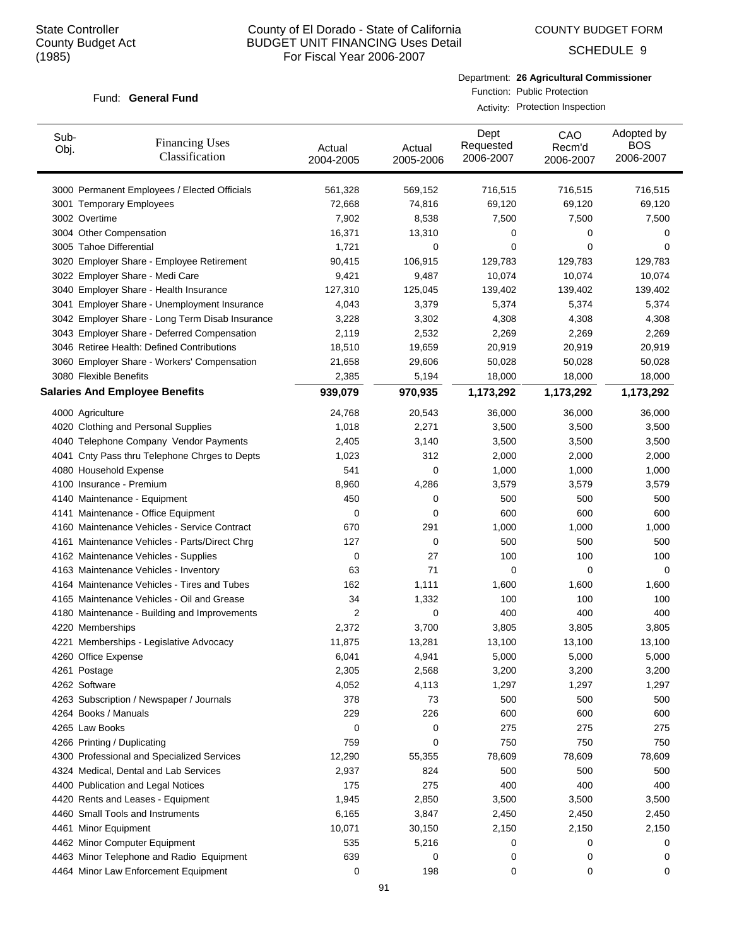COUNTY BUDGET FORM

SCHEDULE 9

#### Fund: General Fund

Department: **26 Agricultural Commissioner** Function: Public Protection Activity: Protection Inspection

| Sub-<br>Obj.           | <b>Financing Uses</b><br>Classification                                   | Actual<br>2004-2005 | Actual<br>2005-2006 | Dept<br>Requested<br>2006-2007 | CAO<br>Recm'd<br>2006-2007 | Adopted by<br><b>BOS</b><br>2006-2007 |
|------------------------|---------------------------------------------------------------------------|---------------------|---------------------|--------------------------------|----------------------------|---------------------------------------|
|                        | 3000 Permanent Employees / Elected Officials                              | 561,328             | 569,152             | 716,515                        | 716,515                    | 716,515                               |
|                        | 3001 Temporary Employees                                                  | 72,668              | 74,816              | 69,120                         | 69,120                     | 69,120                                |
| 3002 Overtime          |                                                                           | 7,902               | 8,538               | 7,500                          | 7,500                      | 7,500                                 |
|                        | 3004 Other Compensation                                                   | 16,371              | 13,310              | 0                              | 0                          | 0                                     |
|                        | 3005 Tahoe Differential                                                   | 1,721               | 0                   | 0                              | 0                          | 0                                     |
|                        | 3020 Employer Share - Employee Retirement                                 | 90,415              | 106,915             | 129,783                        | 129,783                    | 129,783                               |
|                        | 3022 Employer Share - Medi Care                                           | 9,421               | 9,487               | 10,074                         | 10,074                     | 10,074                                |
|                        | 3040 Employer Share - Health Insurance                                    | 127,310             | 125,045             | 139,402                        | 139,402                    | 139,402                               |
|                        | 3041 Employer Share - Unemployment Insurance                              | 4,043               | 3,379               | 5,374                          | 5,374                      | 5,374                                 |
|                        | 3042 Employer Share - Long Term Disab Insurance                           | 3,228               | 3,302               | 4,308                          | 4,308                      | 4,308                                 |
|                        | 3043 Employer Share - Deferred Compensation                               | 2,119               | 2,532               | 2,269                          | 2,269                      | 2,269                                 |
|                        | 3046 Retiree Health: Defined Contributions                                | 18,510              | 19,659              | 20,919                         | 20,919                     | 20,919                                |
|                        | 3060 Employer Share - Workers' Compensation                               | 21,658              | 29,606              | 50,028                         | 50,028                     | 50,028                                |
| 3080 Flexible Benefits |                                                                           | 2,385               | 5,194               | 18,000                         | 18,000                     | 18,000                                |
|                        | <b>Salaries And Employee Benefits</b>                                     | 939,079             | 970,935             | 1,173,292                      | 1,173,292                  | 1,173,292                             |
| 4000 Agriculture       |                                                                           | 24,768              | 20,543              | 36,000                         | 36,000                     | 36,000                                |
|                        | 4020 Clothing and Personal Supplies                                       | 1,018               | 2,271               | 3,500                          | 3,500                      | 3,500                                 |
|                        | 4040 Telephone Company Vendor Payments                                    | 2,405               | 3,140               | 3,500                          | 3,500                      | 3,500                                 |
|                        | 4041 Cnty Pass thru Telephone Chrges to Depts                             | 1,023               | 312                 | 2,000                          | 2,000                      | 2,000                                 |
|                        | 4080 Household Expense                                                    | 541                 | 0                   | 1,000                          | 1,000                      | 1,000                                 |
|                        | 4100 Insurance - Premium                                                  | 8,960               | 4,286               | 3,579                          | 3,579                      | 3,579                                 |
|                        | 4140 Maintenance - Equipment                                              | 450                 | 0                   | 500                            | 500                        | 500                                   |
|                        | 4141 Maintenance - Office Equipment                                       | 0                   | 0                   | 600                            | 600                        | 600                                   |
|                        | 4160 Maintenance Vehicles - Service Contract                              | 670                 | 291                 | 1,000                          | 1,000                      | 1,000                                 |
|                        | 4161 Maintenance Vehicles - Parts/Direct Chrg                             | 127                 | 0                   | 500                            | 500                        | 500                                   |
|                        | 4162 Maintenance Vehicles - Supplies                                      | 0                   | 27                  | 100                            | 100                        | 100                                   |
|                        | 4163 Maintenance Vehicles - Inventory                                     | 63                  | 71                  | 0                              | 0                          | 0                                     |
|                        | 4164 Maintenance Vehicles - Tires and Tubes                               | 162                 | 1,111               | 1,600                          | 1,600                      | 1,600                                 |
|                        | 4165 Maintenance Vehicles - Oil and Grease                                | 34                  | 1,332               | 100                            | 100                        | 100                                   |
|                        | 4180 Maintenance - Building and Improvements                              | 2                   | 0                   | 400                            | 400                        | 400                                   |
| 4220 Memberships       |                                                                           | 2,372               | 3,700               | 3,805                          | 3,805                      | 3,805                                 |
|                        | 4221 Memberships - Legislative Advocacy                                   | 11,875              | 13,281              | 13,100                         | 13,100                     | 13,100                                |
| 4260 Office Expense    |                                                                           | 6,041               | 4,941               | 5,000                          | 5,000                      | 5,000                                 |
| 4261 Postage           |                                                                           | 2,305               | 2,568               | 3,200                          | 3,200                      | 3,200                                 |
| 4262 Software          |                                                                           | 4,052               | 4,113               | 1,297                          | 1,297                      | 1,297                                 |
|                        | 4263 Subscription / Newspaper / Journals                                  | 378                 | 73                  | 500                            | 500                        | 500                                   |
| 4264 Books / Manuals   |                                                                           | 229                 | 226                 | 600                            | 600                        | 600                                   |
| 4265 Law Books         |                                                                           | 0                   | 0                   | 275                            | 275                        | 275                                   |
|                        | 4266 Printing / Duplicating                                               | 759                 | 0                   | 750                            | 750                        | 750                                   |
|                        | 4300 Professional and Specialized Services                                | 12,290              | 55,355              | 78,609                         | 78,609                     | 78,609                                |
|                        | 4324 Medical, Dental and Lab Services                                     | 2,937               | 824                 | 500                            | 500                        | 500                                   |
|                        | 4400 Publication and Legal Notices                                        | 175                 | 275                 | 400                            | 400                        | 400                                   |
|                        | 4420 Rents and Leases - Equipment                                         | 1,945               | 2,850               | 3,500                          | 3,500                      | 3,500                                 |
|                        | 4460 Small Tools and Instruments                                          | 6,165               | 3,847               | 2,450                          | 2,450                      | 2,450                                 |
| 4461 Minor Equipment   |                                                                           | 10,071              | 30,150              | 2,150                          | 2,150                      | 2,150                                 |
|                        |                                                                           |                     |                     |                                | 0                          |                                       |
|                        | 4462 Minor Computer Equipment<br>4463 Minor Telephone and Radio Equipment | 535<br>639          | 5,216<br>0          | 0<br>0                         | 0                          | 0<br>0                                |
|                        | 4464 Minor Law Enforcement Equipment                                      | 0                   | 198                 | 0                              | 0                          | 0                                     |
|                        |                                                                           |                     |                     |                                |                            |                                       |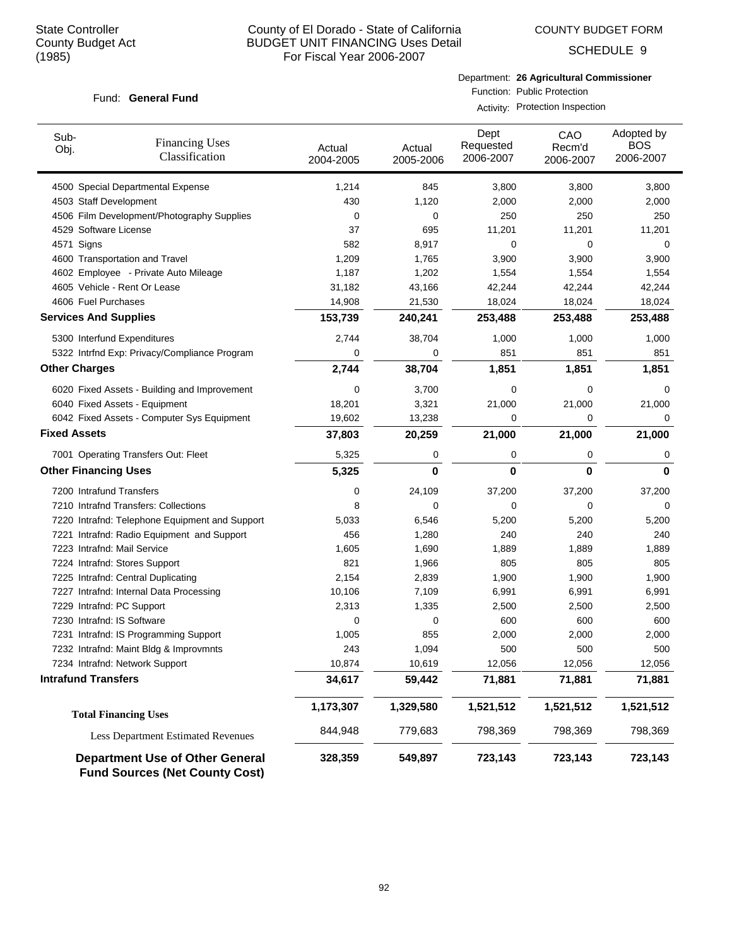COUNTY BUDGET FORM

SCHEDULE 9

#### Fund: General Fund

Department: **26 Agricultural Commissioner** Function: Public Protection

Activity: Protection Inspection

| Sub-<br>Obj.                 | <b>Financing Uses</b><br>Classification                                         | Actual<br>2004-2005 | Actual<br>2005-2006 | Dept<br>Requested<br>2006-2007 | CAO<br>Recm'd<br>2006-2007 | Adopted by<br><b>BOS</b><br>2006-2007 |
|------------------------------|---------------------------------------------------------------------------------|---------------------|---------------------|--------------------------------|----------------------------|---------------------------------------|
|                              | 4500 Special Departmental Expense                                               | 1,214               | 845                 | 3,800                          | 3,800                      | 3,800                                 |
| 4503 Staff Development       |                                                                                 | 430                 | 1,120               | 2,000                          | 2,000                      | 2,000                                 |
|                              | 4506 Film Development/Photography Supplies                                      | 0                   | 0                   | 250                            | 250                        | 250                                   |
| 4529 Software License        |                                                                                 | 37                  | 695                 | 11,201                         | 11,201                     | 11,201                                |
| 4571 Signs                   |                                                                                 | 582                 | 8,917               | 0                              | $\mathbf 0$                | 0                                     |
|                              | 4600 Transportation and Travel                                                  | 1,209               | 1,765               | 3,900                          | 3,900                      | 3,900                                 |
|                              | 4602 Employee - Private Auto Mileage                                            | 1,187               | 1,202               | 1,554                          | 1,554                      | 1,554                                 |
|                              | 4605 Vehicle - Rent Or Lease                                                    | 31,182              | 43,166              | 42,244                         | 42,244                     | 42,244                                |
| 4606 Fuel Purchases          |                                                                                 | 14,908              | 21,530              | 18,024                         | 18,024                     | 18,024                                |
| <b>Services And Supplies</b> |                                                                                 | 153,739             | 240,241             | 253,488                        | 253,488                    | 253,488                               |
| 5300 Interfund Expenditures  |                                                                                 | 2,744               | 38,704              | 1,000                          | 1,000                      | 1,000                                 |
|                              | 5322 Intrfnd Exp: Privacy/Compliance Program                                    | 0                   | $\mathbf 0$         | 851                            | 851                        | 851                                   |
| <b>Other Charges</b>         |                                                                                 | 2,744               | 38,704              | 1,851                          | 1,851                      | 1,851                                 |
|                              | 6020 Fixed Assets - Building and Improvement                                    | 0                   | 3,700               | 0                              | 0                          | 0                                     |
|                              | 6040 Fixed Assets - Equipment                                                   | 18,201              | 3,321               | 21,000                         | 21,000                     | 21,000                                |
|                              | 6042 Fixed Assets - Computer Sys Equipment                                      | 19,602              | 13,238              | 0                              | 0                          | 0                                     |
| <b>Fixed Assets</b>          |                                                                                 | 37,803              | 20,259              | 21,000                         | 21,000                     | 21,000                                |
|                              | 7001 Operating Transfers Out: Fleet                                             | 5,325               | 0                   | 0                              | 0                          | 0                                     |
| <b>Other Financing Uses</b>  |                                                                                 | 5,325               | 0                   | 0                              | 0                          | 0                                     |
| 7200 Intrafund Transfers     |                                                                                 | 0                   | 24,109              | 37,200                         | 37,200                     | 37,200                                |
|                              | 7210 Intrafnd Transfers: Collections                                            | 8                   | 0                   | 0                              | 0                          | 0                                     |
|                              | 7220 Intrafnd: Telephone Equipment and Support                                  | 5,033               | 6,546               | 5,200                          | 5,200                      | 5,200                                 |
|                              | 7221 Intrafnd: Radio Equipment and Support                                      | 456                 | 1,280               | 240                            | 240                        | 240                                   |
| 7223 Intrafnd: Mail Service  |                                                                                 | 1,605               | 1,690               | 1,889                          | 1,889                      | 1,889                                 |
|                              | 7224 Intrafnd: Stores Support                                                   | 821                 | 1,966               | 805                            | 805                        | 805                                   |
|                              | 7225 Intrafnd: Central Duplicating                                              | 2,154               | 2,839               | 1,900                          | 1,900                      | 1,900                                 |
|                              | 7227 Intrafnd: Internal Data Processing                                         | 10,106              | 7,109               | 6,991                          | 6,991                      | 6,991                                 |
| 7229 Intrafnd: PC Support    |                                                                                 | 2,313               | 1,335               | 2,500                          | 2,500                      | 2,500                                 |
| 7230 Intrafnd: IS Software   |                                                                                 | 0                   | 0                   | 600                            | 600                        | 600                                   |
|                              | 7231 Intrafnd: IS Programming Support                                           | 1,005               | 855                 | 2,000                          | 2,000                      | 2,000                                 |
|                              | 7232 Intrafnd: Maint Bldg & Improvmnts                                          | 243                 | 1,094               | 500                            | 500                        | 500                                   |
|                              | 7234 Intrafnd: Network Support                                                  | 10,874              | 10,619              | 12,056                         | 12,056                     | 12,056                                |
| <b>Intrafund Transfers</b>   |                                                                                 | 34,617              | 59,442              | 71,881                         | 71,881                     | 71,881                                |
|                              | <b>Total Financing Uses</b>                                                     | 1,173,307           | 1,329,580           | 1,521,512                      | 1,521,512                  | 1,521,512                             |
|                              | <b>Less Department Estimated Revenues</b>                                       | 844,948             | 779,683             | 798,369                        | 798,369                    | 798,369                               |
|                              | <b>Department Use of Other General</b><br><b>Fund Sources (Net County Cost)</b> | 328,359             | 549,897             | 723,143                        | 723,143                    | 723,143                               |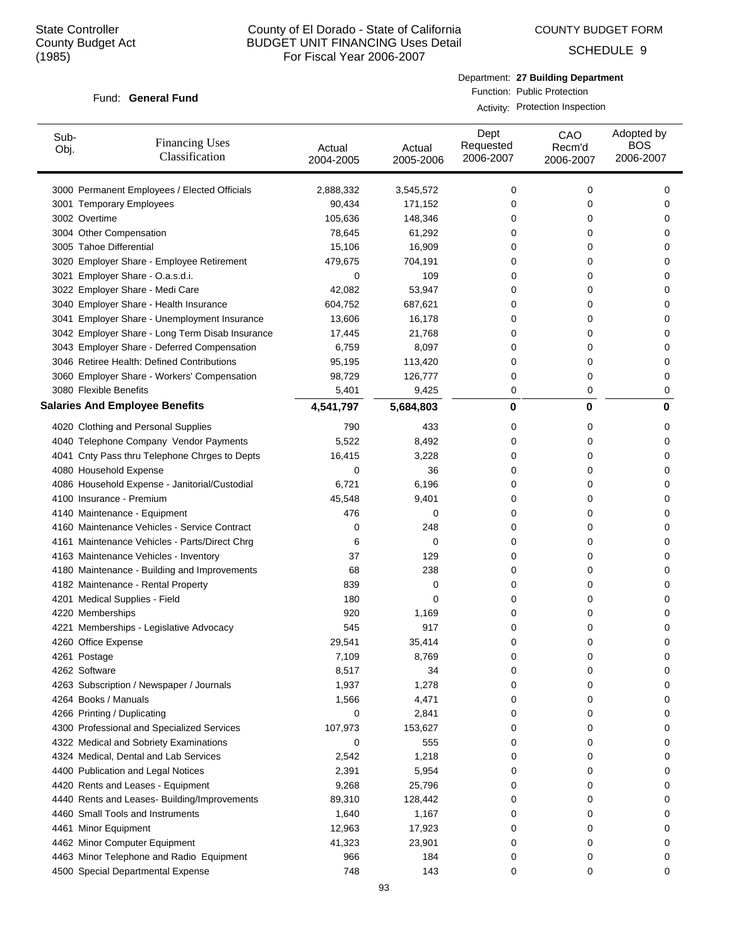COUNTY BUDGET FORM

SCHEDULE 9

#### Fund: General Fund

Department: **27 Building Department** Function: Public Protection

Activity: Protection Inspection

| Sub-<br>Obj. | <b>Financing Uses</b><br>Classification         | Actual<br>2004-2005 | Actual<br>2005-2006 | Dept<br>Requested<br>2006-2007 | CAO<br>Recm'd<br>2006-2007 | Adopted by<br><b>BOS</b><br>2006-2007 |
|--------------|-------------------------------------------------|---------------------|---------------------|--------------------------------|----------------------------|---------------------------------------|
|              | 3000 Permanent Employees / Elected Officials    | 2,888,332           | 3,545,572           | 0                              | 0                          | 0                                     |
|              | 3001 Temporary Employees                        | 90,434              | 171,152             | 0                              | 0                          | 0                                     |
|              | 3002 Overtime                                   | 105,636             | 148,346             | 0                              | 0                          | 0                                     |
|              | 3004 Other Compensation                         | 78,645              | 61,292              | 0                              | 0                          | 0                                     |
|              | 3005 Tahoe Differential                         | 15,106              | 16,909              | 0                              | 0                          | 0                                     |
|              | 3020 Employer Share - Employee Retirement       | 479,675             | 704,191             | 0                              | 0                          | 0                                     |
|              | 3021 Employer Share - O.a.s.d.i.                | 0                   | 109                 | 0                              | 0                          | 0                                     |
|              | 3022 Employer Share - Medi Care                 | 42,082              | 53,947              | 0                              | 0                          | 0                                     |
|              | 3040 Employer Share - Health Insurance          | 604,752             | 687,621             | 0                              | 0                          | 0                                     |
|              | 3041 Employer Share - Unemployment Insurance    | 13,606              | 16,178              | 0                              | 0                          | 0                                     |
|              | 3042 Employer Share - Long Term Disab Insurance | 17,445              | 21,768              | 0                              | 0                          | 0                                     |
|              | 3043 Employer Share - Deferred Compensation     | 6,759               | 8,097               | 0                              | 0                          | 0                                     |
|              | 3046 Retiree Health: Defined Contributions      | 95,195              | 113,420             | 0                              | 0                          | 0                                     |
|              | 3060 Employer Share - Workers' Compensation     | 98,729              | 126,777             | 0                              | 0                          | 0                                     |
|              | 3080 Flexible Benefits                          | 5,401               | 9,425               | 0                              | 0                          | 0                                     |
|              | <b>Salaries And Employee Benefits</b>           | 4,541,797           | 5,684,803           | 0                              | 0                          | 0                                     |
|              | 4020 Clothing and Personal Supplies             | 790                 | 433                 | 0                              | 0                          | 0                                     |
|              | 4040 Telephone Company Vendor Payments          | 5,522               | 8,492               | 0                              | 0                          | 0                                     |
|              | 4041 Cnty Pass thru Telephone Chrges to Depts   | 16,415              | 3,228               | 0                              | 0                          | 0                                     |
|              | 4080 Household Expense                          | 0                   | 36                  | 0                              | 0                          | 0                                     |
|              | 4086 Household Expense - Janitorial/Custodial   | 6,721               | 6,196               | 0                              | 0                          | 0                                     |
|              | 4100 Insurance - Premium                        | 45,548              | 9,401               | 0                              | 0                          | 0                                     |
|              | 4140 Maintenance - Equipment                    | 476                 | 0                   | 0                              | 0                          | 0                                     |
|              | 4160 Maintenance Vehicles - Service Contract    | 0                   | 248                 | 0                              | 0                          | 0                                     |
|              | 4161 Maintenance Vehicles - Parts/Direct Chrg   | 6                   | 0                   | 0                              | 0                          | 0                                     |
|              | 4163 Maintenance Vehicles - Inventory           | 37                  | 129                 | 0                              | 0                          | 0                                     |
|              | 4180 Maintenance - Building and Improvements    | 68                  | 238                 | 0                              | 0                          | 0                                     |
|              | 4182 Maintenance - Rental Property              | 839                 | 0                   | 0                              | 0                          | 0                                     |
|              | 4201 Medical Supplies - Field                   | 180                 | 0                   | 0                              | 0                          | 0                                     |
|              | 4220 Memberships                                | 920                 | 1,169               | 0                              | 0                          | 0                                     |
|              | 4221 Memberships - Legislative Advocacy         | 545                 | 917                 | 0                              | 0                          | 0                                     |
|              | 4260 Office Expense                             | 29,541              | 35,414              | 0                              | 0                          | 0                                     |
|              | 4261 Postage                                    | 7,109               | 8,769               | 0                              | U                          | 0                                     |
|              | 4262 Software                                   | 8,517               | 34                  | 0                              | 0                          | 0                                     |
|              | 4263 Subscription / Newspaper / Journals        | 1,937               | 1,278               | 0                              | 0                          | 0                                     |
|              | 4264 Books / Manuals                            | 1,566               | 4,471               | 0                              | 0                          | 0                                     |
|              | 4266 Printing / Duplicating                     | 0                   | 2,841               | 0                              | 0                          | 0                                     |
|              | 4300 Professional and Specialized Services      | 107,973             | 153,627             | 0                              | 0                          | 0                                     |
|              | 4322 Medical and Sobriety Examinations          | 0                   | 555                 | 0                              | 0                          | 0                                     |
|              | 4324 Medical, Dental and Lab Services           | 2,542               | 1,218               | 0                              | 0                          | 0                                     |
|              | 4400 Publication and Legal Notices              | 2,391               | 5,954               | 0                              | 0                          | 0                                     |
|              | 4420 Rents and Leases - Equipment               | 9,268               | 25,796              | 0                              | 0                          | 0                                     |
|              | 4440 Rents and Leases- Building/Improvements    | 89,310              | 128,442             | 0                              | 0                          | 0                                     |
|              | 4460 Small Tools and Instruments                | 1,640               | 1,167               | 0                              | 0                          | 0                                     |
|              | 4461 Minor Equipment                            | 12,963              | 17,923              | 0                              | 0                          | 0                                     |
|              | 4462 Minor Computer Equipment                   | 41,323              | 23,901              | 0                              | 0                          | 0                                     |
|              | 4463 Minor Telephone and Radio Equipment        | 966                 | 184                 | 0                              | 0                          | 0                                     |
|              | 4500 Special Departmental Expense               | 748                 | 143                 | 0                              | 0                          | 0                                     |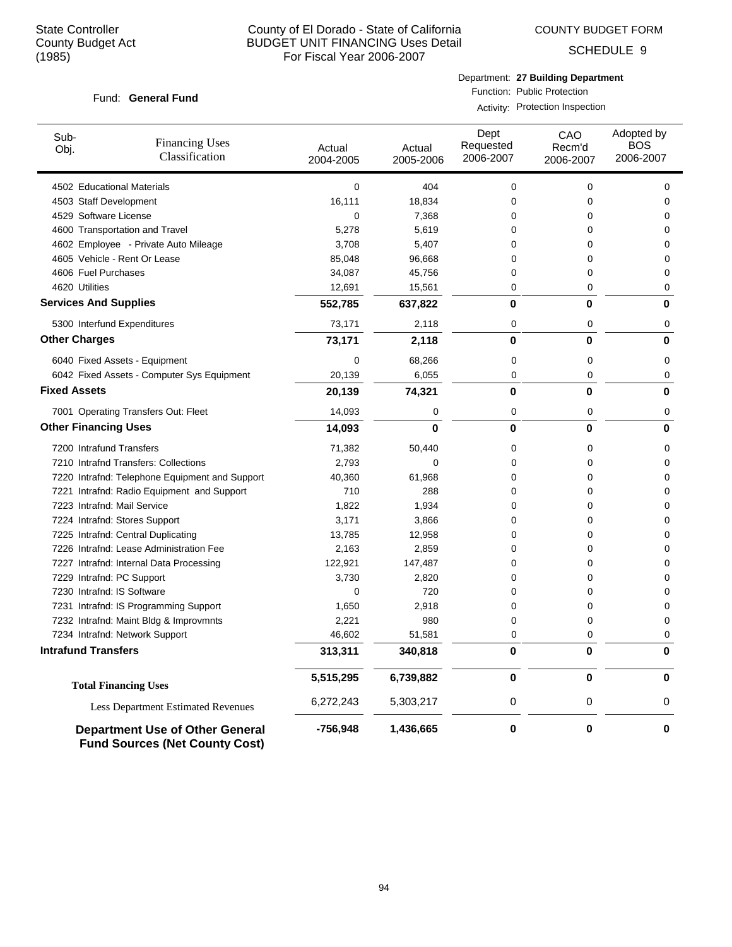COUNTY BUDGET FORM

SCHEDULE 9

#### Fund: General Fund

Department: **27 Building Department** Function: Public Protection

Activity: Protection Inspection

| Sub-<br>Obj.                 | <b>Financing Uses</b><br>Classification                                         | Actual<br>2004-2005 | Actual<br>2005-2006 | Dept<br>Requested<br>2006-2007 | CAO<br>Recm'd<br>2006-2007 | Adopted by<br>BOS<br>2006-2007 |
|------------------------------|---------------------------------------------------------------------------------|---------------------|---------------------|--------------------------------|----------------------------|--------------------------------|
| 4502 Educational Materials   |                                                                                 | 0                   | 404                 | 0                              | 0                          | 0                              |
| 4503 Staff Development       |                                                                                 | 16,111              | 18,834              | 0                              | 0                          | 0                              |
| 4529 Software License        |                                                                                 | 0                   | 7,368               | 0                              | 0                          | 0                              |
|                              | 4600 Transportation and Travel                                                  | 5,278               | 5,619               | 0                              | 0                          | 0                              |
|                              | 4602 Employee - Private Auto Mileage                                            | 3,708               | 5,407               | 0                              | 0                          | 0                              |
|                              | 4605 Vehicle - Rent Or Lease                                                    | 85,048              | 96,668              | 0                              | 0                          | 0                              |
| 4606 Fuel Purchases          |                                                                                 | 34,087              | 45,756              | 0                              | 0                          | 0                              |
| 4620 Utilities               |                                                                                 | 12,691              | 15,561              | 0                              | 0                          | 0                              |
| <b>Services And Supplies</b> |                                                                                 | 552,785             | 637,822             | 0                              | 0                          | 0                              |
|                              | 5300 Interfund Expenditures                                                     | 73,171              | 2,118               | 0                              | 0                          | 0                              |
| <b>Other Charges</b>         |                                                                                 | 73,171              | 2,118               | $\bf{0}$                       | $\bf{0}$                   | 0                              |
|                              | 6040 Fixed Assets - Equipment                                                   | 0                   | 68,266              | 0                              | 0                          | 0                              |
|                              | 6042 Fixed Assets - Computer Sys Equipment                                      | 20,139              | 6,055               | 0                              | 0                          | 0                              |
| <b>Fixed Assets</b>          |                                                                                 | 20,139              | 74,321              | 0                              | $\bf{0}$                   | 0                              |
|                              | 7001 Operating Transfers Out: Fleet                                             | 14,093              | 0                   | 0                              | 0                          | 0                              |
| <b>Other Financing Uses</b>  |                                                                                 | 14,093              | 0                   | 0                              | $\bf{0}$                   | 0                              |
| 7200 Intrafund Transfers     |                                                                                 | 71,382              | 50,440              | 0                              | 0                          | 0                              |
|                              | 7210 Intrafnd Transfers: Collections                                            | 2,793               | 0                   | 0                              | 0                          | 0                              |
|                              | 7220 Intrafnd: Telephone Equipment and Support                                  | 40,360              | 61,968              | 0                              | 0                          | 0                              |
|                              | 7221 Intrafnd: Radio Equipment and Support                                      | 710                 | 288                 | 0                              | 0                          | 0                              |
| 7223 Intrafnd: Mail Service  |                                                                                 | 1,822               | 1,934               | 0                              | 0                          | 0                              |
|                              | 7224 Intrafnd: Stores Support                                                   | 3,171               | 3,866               | 0                              | 0                          | 0                              |
|                              | 7225 Intrafnd: Central Duplicating                                              | 13,785              | 12,958              | 0                              | 0                          | 0                              |
|                              | 7226 Intrafnd: Lease Administration Fee                                         | 2,163               | 2,859               | 0                              | 0                          | 0                              |
|                              | 7227 Intrafnd: Internal Data Processing                                         | 122,921             | 147,487             | 0                              | 0                          | 0                              |
| 7229 Intrafnd: PC Support    |                                                                                 | 3,730               | 2,820               | 0                              | 0                          | 0                              |
| 7230 Intrafnd: IS Software   |                                                                                 | 0                   | 720                 | 0                              | 0                          | 0                              |
|                              | 7231 Intrafnd: IS Programming Support                                           | 1,650               | 2,918               | 0                              | 0                          | 0                              |
|                              | 7232 Intrafnd: Maint Bldg & Improvmnts                                          | 2,221               | 980                 | 0                              | 0                          | 0                              |
|                              | 7234 Intrafnd: Network Support                                                  | 46,602              | 51,581              | 0                              | 0                          | 0                              |
| <b>Intrafund Transfers</b>   |                                                                                 | 313,311             | 340,818             | $\bf{0}$                       | $\bf{0}$                   | $\bf{0}$                       |
|                              | <b>Total Financing Uses</b>                                                     | 5,515,295           | 6,739,882           | $\mathbf 0$                    | $\mathbf 0$                | 0                              |
|                              | <b>Less Department Estimated Revenues</b>                                       | 6,272,243           | 5,303,217           | 0                              | 0                          | 0                              |
|                              | <b>Department Use of Other General</b><br><b>Fund Sources (Net County Cost)</b> | $-756,948$          | 1,436,665           | 0                              | $\bf{0}$                   | 0                              |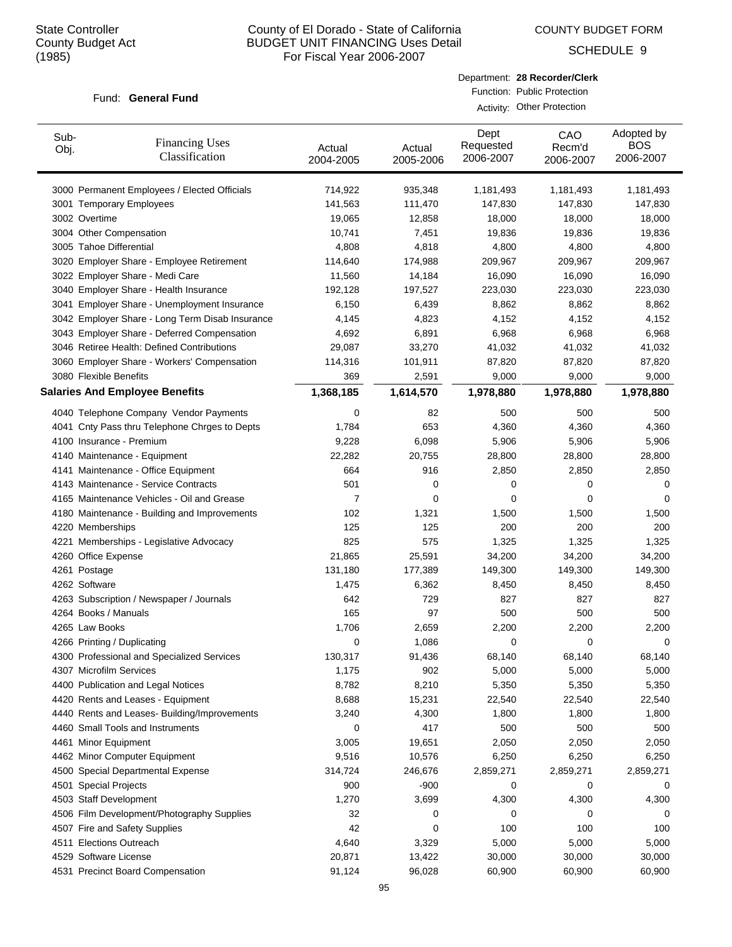COUNTY BUDGET FORM

SCHEDULE 9

#### Fund: General Fund

| Department: 28 Recorder/Clerk |
|-------------------------------|
| Function: Public Protection   |
| Activity: Other Protection    |

| Sub-<br>Obj. | <b>Financing Uses</b><br>Classification         | Actual<br>2004-2005 | Actual<br>2005-2006 | Dept<br>Requested<br>2006-2007 | CAO<br>Recm'd<br>2006-2007 | Adopted by<br><b>BOS</b><br>2006-2007 |
|--------------|-------------------------------------------------|---------------------|---------------------|--------------------------------|----------------------------|---------------------------------------|
|              | 3000 Permanent Employees / Elected Officials    | 714,922             | 935,348             | 1,181,493                      | 1,181,493                  | 1,181,493                             |
|              | 3001 Temporary Employees                        | 141,563             | 111,470             | 147,830                        | 147,830                    | 147,830                               |
|              | 3002 Overtime                                   | 19,065              | 12,858              | 18,000                         | 18,000                     | 18,000                                |
|              | 3004 Other Compensation                         | 10,741              | 7,451               | 19,836                         | 19,836                     | 19,836                                |
|              | 3005 Tahoe Differential                         | 4,808               | 4,818               | 4,800                          | 4,800                      | 4,800                                 |
|              | 3020 Employer Share - Employee Retirement       | 114,640             | 174,988             | 209,967                        | 209,967                    | 209,967                               |
|              | 3022 Employer Share - Medi Care                 | 11,560              | 14,184              | 16,090                         | 16,090                     | 16,090                                |
|              | 3040 Employer Share - Health Insurance          | 192,128             | 197,527             | 223,030                        | 223,030                    | 223,030                               |
|              | 3041 Employer Share - Unemployment Insurance    | 6,150               | 6,439               | 8,862                          | 8,862                      | 8,862                                 |
|              | 3042 Employer Share - Long Term Disab Insurance | 4,145               | 4,823               | 4,152                          | 4,152                      | 4,152                                 |
|              | 3043 Employer Share - Deferred Compensation     | 4,692               | 6,891               | 6,968                          | 6,968                      | 6,968                                 |
|              | 3046 Retiree Health: Defined Contributions      | 29,087              | 33,270              | 41,032                         | 41,032                     | 41,032                                |
|              | 3060 Employer Share - Workers' Compensation     | 114,316             | 101,911             | 87,820                         | 87,820                     | 87,820                                |
|              | 3080 Flexible Benefits                          | 369                 | 2,591               | 9,000                          | 9,000                      | 9,000                                 |
|              | <b>Salaries And Employee Benefits</b>           | 1,368,185           | 1,614,570           | 1,978,880                      | 1,978,880                  | 1,978,880                             |
|              | 4040 Telephone Company Vendor Payments          | 0                   | 82                  | 500                            | 500                        | 500                                   |
|              | 4041 Cnty Pass thru Telephone Chrges to Depts   | 1,784               | 653                 | 4,360                          | 4,360                      | 4,360                                 |
|              | 4100 Insurance - Premium                        | 9,228               | 6,098               | 5,906                          | 5,906                      | 5,906                                 |
|              | 4140 Maintenance - Equipment                    | 22,282              | 20,755              | 28,800                         | 28,800                     | 28,800                                |
|              | 4141 Maintenance - Office Equipment             | 664                 | 916                 | 2,850                          | 2,850                      | 2,850                                 |
|              | 4143 Maintenance - Service Contracts            | 501                 | 0                   | 0                              | 0                          | 0                                     |
|              | 4165 Maintenance Vehicles - Oil and Grease      | $\overline{7}$      | 0                   | 0                              | 0                          | 0                                     |
|              | 4180 Maintenance - Building and Improvements    | 102                 | 1,321               | 1,500                          | 1,500                      | 1,500                                 |
|              | 4220 Memberships                                | 125                 | 125                 | 200                            | 200                        | 200                                   |
|              | 4221 Memberships - Legislative Advocacy         | 825                 | 575                 | 1,325                          | 1,325                      | 1,325                                 |
|              | 4260 Office Expense                             | 21,865              | 25,591              | 34,200                         | 34,200                     | 34,200                                |
|              | 4261 Postage                                    | 131,180             | 177,389             | 149,300                        | 149,300                    | 149,300                               |
|              | 4262 Software                                   | 1,475               | 6,362               | 8,450                          | 8,450                      | 8,450                                 |
|              | 4263 Subscription / Newspaper / Journals        | 642                 | 729                 | 827                            | 827                        | 827                                   |
|              | 4264 Books / Manuals                            | 165                 | 97                  | 500                            | 500                        | 500                                   |
|              | 4265 Law Books                                  | 1,706               | 2,659               | 2,200                          | 2,200                      | 2,200                                 |
|              | 4266 Printing / Duplicating                     | 0                   | 1,086               | 0                              | 0                          | 0                                     |
|              | 4300 Professional and Specialized Services      | 130,317             | 91,436              | 68,140                         | 68,140                     | 68,140                                |
|              | 4307 Microfilm Services                         | 1,175               | 902                 | 5,000                          | 5,000                      | 5,000                                 |
|              | 4400 Publication and Legal Notices              | 8,782               | 8,210               | 5,350                          | 5,350                      | 5,350                                 |
|              | 4420 Rents and Leases - Equipment               | 8,688               | 15,231              | 22,540                         | 22,540                     | 22,540                                |
|              | 4440 Rents and Leases- Building/Improvements    | 3,240               | 4,300               | 1,800                          | 1,800                      | 1,800                                 |
|              | 4460 Small Tools and Instruments                | 0                   | 417                 | 500                            | 500                        | 500                                   |
|              | 4461 Minor Equipment                            | 3,005               | 19,651              | 2,050                          | 2,050                      | 2,050                                 |
|              | 4462 Minor Computer Equipment                   | 9,516               | 10,576              | 6,250                          | 6,250                      | 6,250                                 |
|              | 4500 Special Departmental Expense               | 314,724             | 246,676             | 2,859,271                      | 2,859,271                  | 2,859,271                             |
|              | 4501 Special Projects                           | 900                 | -900                | 0                              | 0                          | 0                                     |
|              | 4503 Staff Development                          | 1,270               | 3,699               | 4,300                          | 4,300                      | 4,300                                 |
|              | 4506 Film Development/Photography Supplies      | 32                  | 0                   | 0                              | 0                          | 0                                     |
|              | 4507 Fire and Safety Supplies                   | 42                  | 0                   | 100                            | 100                        | 100                                   |
|              | 4511 Elections Outreach                         | 4,640               | 3,329               | 5,000                          | 5,000                      | 5,000                                 |
|              | 4529 Software License                           | 20,871              | 13,422              | 30,000                         | 30,000                     | 30,000                                |
|              | 4531 Precinct Board Compensation                | 91,124              | 96,028              | 60,900                         | 60,900                     | 60,900                                |
|              |                                                 |                     |                     |                                |                            |                                       |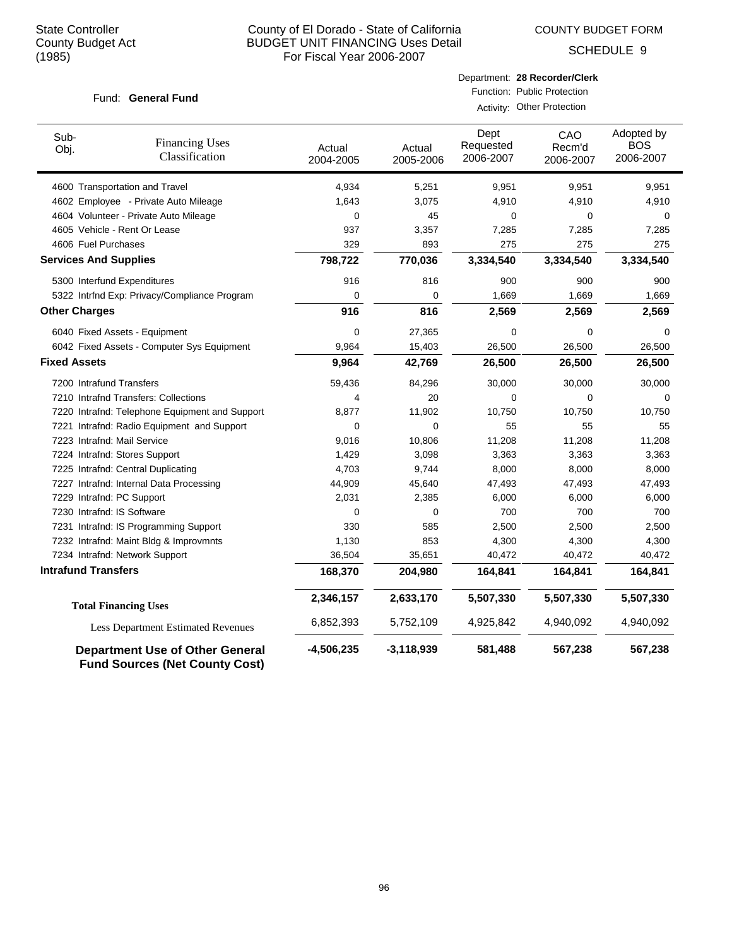COUNTY BUDGET FORM

SCHEDULE 9

### Fund: General Fund

| Department: 28 Recorder/Clerk |
|-------------------------------|
| Function: Public Protection   |

| Activity: Other Protection |
|----------------------------|

| Sub-<br>Obj.                               | <b>Financing Uses</b><br>Classification                                         | Actual<br>2004-2005 | Actual<br>2005-2006 | Dept<br>Requested<br>2006-2007 | CAO<br>Recm'd<br>2006-2007 | Adopted by<br><b>BOS</b><br>2006-2007 |
|--------------------------------------------|---------------------------------------------------------------------------------|---------------------|---------------------|--------------------------------|----------------------------|---------------------------------------|
|                                            | 4600 Transportation and Travel                                                  | 4,934               | 5,251               | 9,951                          | 9,951                      | 9,951                                 |
|                                            | 4602 Employee - Private Auto Mileage                                            | 1,643               | 3,075               | 4,910                          | 4,910                      | 4,910                                 |
|                                            | 4604 Volunteer - Private Auto Mileage                                           | $\mathbf 0$         | 45                  | $\Omega$                       | 0                          | $\Omega$                              |
|                                            | 4605 Vehicle - Rent Or Lease                                                    | 937                 | 3,357               | 7,285                          | 7,285                      | 7,285                                 |
| 4606 Fuel Purchases                        |                                                                                 | 329                 | 893                 | 275                            | 275                        | 275                                   |
| <b>Services And Supplies</b>               |                                                                                 | 798,722             | 770,036             | 3,334,540                      | 3,334,540                  | 3,334,540                             |
|                                            | 5300 Interfund Expenditures                                                     | 916                 | 816                 | 900                            | 900                        | 900                                   |
|                                            | 5322 Intrfnd Exp: Privacy/Compliance Program                                    | $\mathbf 0$         | 0                   | 1,669                          | 1,669                      | 1,669                                 |
| <b>Other Charges</b>                       |                                                                                 | 916                 | 816                 | 2,569                          | 2,569                      | 2,569                                 |
|                                            | 6040 Fixed Assets - Equipment                                                   | 0                   | 27,365              | 0                              | 0                          | 0                                     |
| 6042 Fixed Assets - Computer Sys Equipment |                                                                                 | 9,964               | 15,403              | 26,500                         | 26,500                     | 26,500                                |
| <b>Fixed Assets</b>                        |                                                                                 | 9,964               | 42,769              | 26,500                         | 26,500                     | 26,500                                |
| 7200 Intrafund Transfers                   |                                                                                 | 59,436              | 84,296              | 30,000                         | 30,000                     | 30,000                                |
|                                            | 7210 Intrafnd Transfers: Collections                                            | 4                   | 20                  | 0                              | $\mathbf 0$                | 0                                     |
|                                            | 7220 Intrafnd: Telephone Equipment and Support                                  | 8,877               | 11,902              | 10,750                         | 10,750                     | 10,750                                |
|                                            | 7221 Intrafnd: Radio Equipment and Support                                      | $\mathbf 0$         | 0                   | 55                             | 55                         | 55                                    |
|                                            | 7223 Intrafnd: Mail Service                                                     | 9,016               | 10,806              | 11,208                         | 11,208                     | 11,208                                |
|                                            | 7224 Intrafnd: Stores Support                                                   | 1,429               | 3,098               | 3,363                          | 3,363                      | 3,363                                 |
|                                            | 7225 Intrafnd: Central Duplicating                                              | 4,703               | 9,744               | 8,000                          | 8,000                      | 8,000                                 |
|                                            | 7227 Intrafnd: Internal Data Processing                                         | 44,909              | 45,640              | 47,493                         | 47,493                     | 47,493                                |
|                                            | 7229 Intrafnd: PC Support                                                       | 2,031               | 2,385               | 6,000                          | 6,000                      | 6,000                                 |
|                                            | 7230 Intrafnd: IS Software                                                      | $\Omega$            | $\Omega$            | 700                            | 700                        | 700                                   |
|                                            | 7231 Intrafnd: IS Programming Support                                           | 330                 | 585                 | 2,500                          | 2,500                      | 2,500                                 |
|                                            | 7232 Intrafnd: Maint Bldg & Improvmnts                                          | 1,130               | 853                 | 4,300                          | 4,300                      | 4,300                                 |
|                                            | 7234 Intrafnd: Network Support                                                  | 36,504              | 35,651              | 40,472                         | 40,472                     | 40,472                                |
| <b>Intrafund Transfers</b>                 |                                                                                 | 168,370             | 204,980             | 164,841                        | 164,841                    | 164,841                               |
|                                            | <b>Total Financing Uses</b>                                                     | 2,346,157           | 2,633,170           | 5,507,330                      | 5,507,330                  | 5,507,330                             |
|                                            | Less Department Estimated Revenues                                              | 6,852,393           | 5,752,109           | 4,925,842                      | 4,940,092                  | 4,940,092                             |
|                                            | <b>Department Use of Other General</b><br><b>Fund Sources (Net County Cost)</b> | $-4,506,235$        | $-3,118,939$        | 581,488                        | 567,238                    | 567,238                               |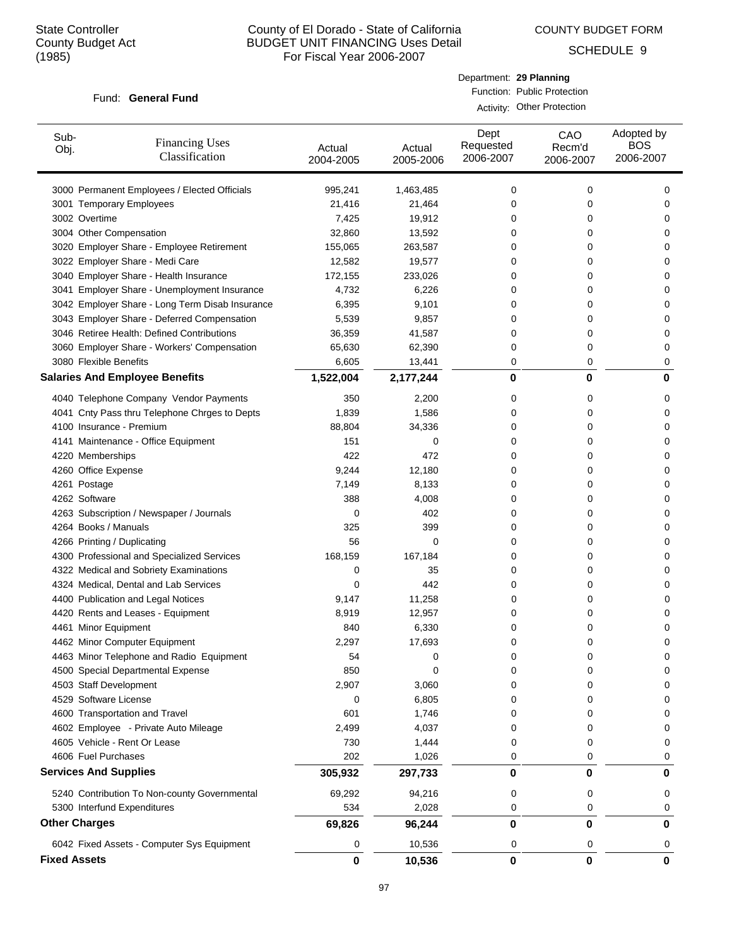Sub-Obj.

## County of El Dorado - State of California BUDGET UNIT FINANCING Uses Detail For Fiscal Year 2006-2007

Actual 2004-2005 COUNTY BUDGET FORM

SCHEDULE 9

#### Fund: General Fund

Financing Uses Classification

|                     | Department: 29 Planning        | Function: Public Protection<br>Activity: Other Protection |                                       |
|---------------------|--------------------------------|-----------------------------------------------------------|---------------------------------------|
| Actual<br>2005-2006 | Dept<br>Requested<br>2006-2007 | CAO<br>Recm'd<br>2006-2007                                | Adopted by<br><b>BOS</b><br>2006-2007 |
| 1,463,485           | 0                              | 0                                                         | C                                     |
| 21.464              |                                | 0                                                         | ſ                                     |

| 3000 Permanent Employees / Elected Officials    | 995,241     | 1,463,485   | 0 | 0           | 0           |
|-------------------------------------------------|-------------|-------------|---|-------------|-------------|
| 3001 Temporary Employees                        | 21,416      | 21,464      | 0 | 0           | 0           |
| 3002 Overtime                                   | 7,425       | 19,912      | 0 | 0           | 0           |
| 3004 Other Compensation                         | 32,860      | 13,592      | 0 | 0           | 0           |
| 3020 Employer Share - Employee Retirement       | 155,065     | 263,587     | 0 | $\Omega$    | 0           |
| 3022 Employer Share - Medi Care                 | 12,582      | 19,577      | 0 | $\Omega$    | 0           |
| 3040 Employer Share - Health Insurance          | 172,155     | 233,026     | 0 | $\Omega$    | 0           |
| 3041 Employer Share - Unemployment Insurance    | 4,732       | 6,226       | 0 | $\Omega$    | 0           |
| 3042 Employer Share - Long Term Disab Insurance | 6,395       | 9,101       | 0 | $\Omega$    | 0           |
| 3043 Employer Share - Deferred Compensation     | 5,539       | 9,857       | 0 | $\Omega$    | 0           |
| 3046 Retiree Health: Defined Contributions      | 36,359      | 41,587      | 0 | 0           | 0           |
| 3060 Employer Share - Workers' Compensation     | 65,630      | 62,390      | 0 | 0           | 0           |
| 3080 Flexible Benefits                          | 6,605       | 13,441      | 0 | $\mathbf 0$ | 0           |
| <b>Salaries And Employee Benefits</b>           | 1,522,004   | 2,177,244   | 0 | 0           | 0           |
| 4040 Telephone Company Vendor Payments          | 350         | 2,200       | 0 | 0           | 0           |
| 4041 Cnty Pass thru Telephone Chrges to Depts   | 1,839       | 1,586       | 0 | 0           | 0           |
| 4100 Insurance - Premium                        | 88,804      | 34,336      | 0 | 0           | 0           |
| 4141 Maintenance - Office Equipment             | 151         | 0           | 0 | 0           | 0           |
| 4220 Memberships                                | 422         | 472         | 0 | 0           | 0           |
| 4260 Office Expense                             | 9,244       | 12,180      | 0 | 0           | 0           |
| 4261 Postage                                    | 7,149       | 8,133       | 0 | 0           | 0           |
| 4262 Software                                   | 388         | 4,008       | 0 | 0           | 0           |
| 4263 Subscription / Newspaper / Journals        | 0           | 402         | 0 | 0           | 0           |
| 4264 Books / Manuals                            | 325         | 399         | 0 | 0           | 0           |
| 4266 Printing / Duplicating                     | 56          | $\mathbf 0$ | 0 | 0           | 0           |
| 4300 Professional and Specialized Services      | 168,159     | 167,184     | 0 | 0           | 0           |
| 4322 Medical and Sobriety Examinations          | 0           | 35          | 0 | 0           | 0           |
| 4324 Medical, Dental and Lab Services           | $\mathbf 0$ | 442         | 0 | 0           | 0           |
| 4400 Publication and Legal Notices              | 9,147       | 11,258      | 0 | 0           | 0           |
| 4420 Rents and Leases - Equipment               | 8,919       | 12,957      | 0 | 0           | 0           |
| 4461 Minor Equipment                            | 840         | 6,330       | 0 | 0           | 0           |
| 4462 Minor Computer Equipment                   | 2,297       | 17,693      | 0 | 0           | 0           |
| 4463 Minor Telephone and Radio Equipment        | 54          | 0           | 0 | 0           | 0           |
| 4500 Special Departmental Expense               | 850         | $\mathbf 0$ | 0 | 0           | 0           |
| 4503 Staff Development                          | 2,907       | 3,060       | 0 | 0           | 0           |
| 4529 Software License                           | 0           | 6,805       | 0 | 0           | $\mathbf 0$ |
| 4600 Transportation and Travel                  | 601         | 1,746       | 0 | 0           | 0           |
| 4602 Employee - Private Auto Mileage            | 2,499       | 4,037       | 0 | 0           | 0           |
| 4605 Vehicle - Rent Or Lease                    | 730         | 1,444       | 0 | 0           | 0           |
| 4606 Fuel Purchases                             | 202         | 1,026       | 0 | 0           | 0           |
| <b>Services And Supplies</b>                    | 305,932     | 297,733     | 0 | 0           | 0           |
| 5240 Contribution To Non-county Governmental    | 69,292      | 94,216      | 0 | 0           | 0           |
| 5300 Interfund Expenditures                     | 534         | 2,028       | 0 | 0           | 0           |
| <b>Other Charges</b>                            | 69,826      | 96,244      | 0 | 0           | 0           |
| 6042 Fixed Assets - Computer Sys Equipment      | 0           | 10,536      | 0 | 0           | 0           |
| <b>Fixed Assets</b>                             | 0           | 10,536      | 0 | 0           | 0           |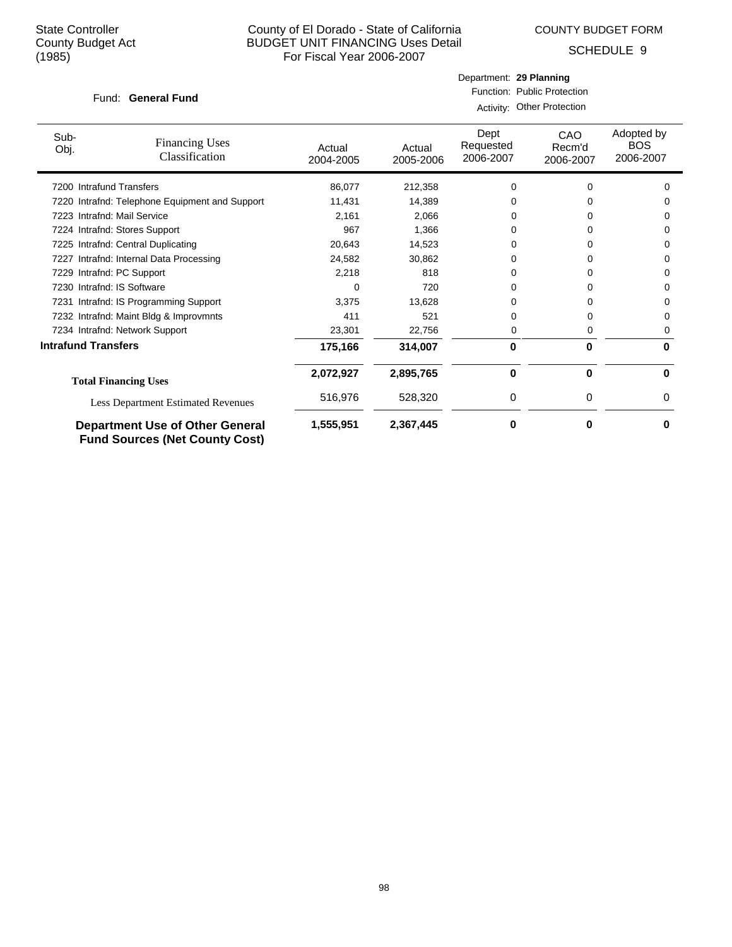COUNTY BUDGET FORM

Department: **29 Planning** Function: Public Protection

SCHEDULE 9

### Fund: General Fund

|                                                         |                                                                                 | Activity: Other Protection |                                |                                   |                                       |   |  |
|---------------------------------------------------------|---------------------------------------------------------------------------------|----------------------------|--------------------------------|-----------------------------------|---------------------------------------|---|--|
| Sub-<br><b>Financing Uses</b><br>Obj.<br>Classification | Actual<br>2004-2005                                                             | Actual<br>2005-2006        | Dept<br>Requested<br>2006-2007 | <b>CAO</b><br>Recm'd<br>2006-2007 | Adopted by<br><b>BOS</b><br>2006-2007 |   |  |
| 7200 Intrafund Transfers                                |                                                                                 | 86,077                     | 212,358                        | 0                                 | 0                                     | 0 |  |
|                                                         | 7220 Intrafnd: Telephone Equipment and Support                                  | 11,431                     | 14,389                         |                                   |                                       |   |  |
| 7223                                                    | Intrafnd: Mail Service                                                          | 2,161                      | 2,066                          | O                                 | 0                                     | O |  |
|                                                         | 7224 Intrafnd: Stores Support                                                   | 967                        | 1,366                          | 0                                 | 0                                     | 0 |  |
|                                                         | 7225 Intrafnd: Central Duplicating                                              | 20,643                     | 14,523                         | 0                                 | 0                                     | 0 |  |
| 7227                                                    | Intrafnd: Internal Data Processing                                              | 24,582                     | 30,862                         |                                   |                                       | 0 |  |
| 7229 Intrafnd: PC Support                               |                                                                                 | 2,218                      | 818                            |                                   | O                                     | 0 |  |
| 7230 Intrafnd: IS Software                              |                                                                                 | U                          | 720                            |                                   |                                       | O |  |
|                                                         | 7231 Intrafnd: IS Programming Support                                           | 3,375                      | 13,628                         | 0                                 | O                                     | O |  |
|                                                         | 7232 Intrafnd: Maint Bldg & Improvmnts                                          | 411                        | 521                            | 0                                 | 0                                     | 0 |  |
|                                                         | 7234 Intrafnd: Network Support                                                  | 23,301                     | 22,756                         | 0                                 | 0                                     | 0 |  |
| <b>Intrafund Transfers</b>                              |                                                                                 | 175,166                    | 314,007                        | 0                                 | $\bf{0}$                              | 0 |  |
|                                                         | <b>Total Financing Uses</b>                                                     | 2,072,927                  | 2,895,765                      | $\bf{0}$                          | $\bf{0}$                              | 0 |  |
|                                                         | <b>Less Department Estimated Revenues</b>                                       | 516,976                    | 528,320                        | 0                                 | 0                                     | 0 |  |
|                                                         | <b>Department Use of Other General</b><br><b>Fund Sources (Net County Cost)</b> | 1,555,951                  | 2,367,445                      | 0                                 | $\bf{0}$                              | ŋ |  |

98